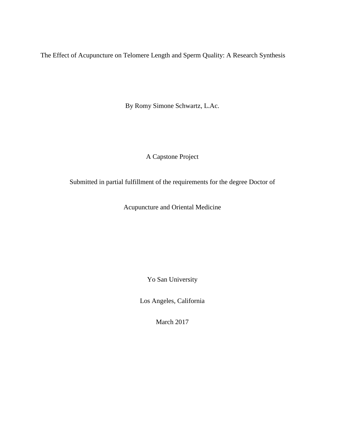The Effect of Acupuncture on Telomere Length and Sperm Quality: A Research Synthesis

By Romy Simone Schwartz, L.Ac.

A Capstone Project

Submitted in partial fulfillment of the requirements for the degree Doctor of

Acupuncture and Oriental Medicine

Yo San University

Los Angeles, California

March 2017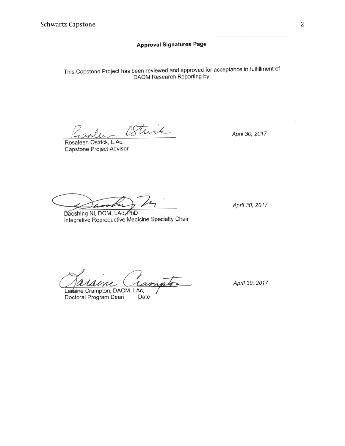## **Approval Signatures Page**

This Capstone Project has been reviewed and approved for acceptance in fulfillment of DAOM Research Reporting by:

Strik

Rosaleen Ostrick, L.Ac. Capstone Project Advisor

Daoshing Ni, DOM, LAc, PhD Integrative Reproductive Medicine Specialty Chair

April 30, 2017

April 30, 2017

ım

Laraine Crampton, DAOM, LAc, Doctoral Program Dean Date

April 30, 2017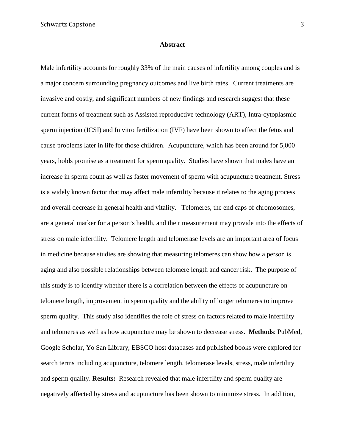#### **Abstract**

Male infertility accounts for roughly 33% of the main causes of infertility among couples and is a major concern surrounding pregnancy outcomes and live birth rates. Current treatments are invasive and costly, and significant numbers of new findings and research suggest that these current forms of treatment such as Assisted reproductive technology (ART), Intra-cytoplasmic sperm injection (ICSI) and In vitro fertilization (IVF) have been shown to affect the fetus and cause problems later in life for those children. Acupuncture, which has been around for 5,000 years, holds promise as a treatment for sperm quality. Studies have shown that males have an increase in sperm count as well as faster movement of sperm with acupuncture treatment. Stress is a widely known factor that may affect male infertility because it relates to the aging process and overall decrease in general health and vitality. Telomeres, the end caps of chromosomes, are a general marker for a person's health, and their measurement may provide into the effects of stress on male infertility. Telomere length and telomerase levels are an important area of focus in medicine because studies are showing that measuring telomeres can show how a person is aging and also possible relationships between telomere length and cancer risk. The purpose of this study is to identify whether there is a correlation between the effects of acupuncture on telomere length, improvement in sperm quality and the ability of longer telomeres to improve sperm quality. This study also identifies the role of stress on factors related to male infertility and telomeres as well as how acupuncture may be shown to decrease stress. **Methods**: PubMed, Google Scholar, Yo San Library, EBSCO host databases and published books were explored for search terms including acupuncture, telomere length, telomerase levels, stress, male infertility and sperm quality. **Results:** Research revealed that male infertility and sperm quality are negatively affected by stress and acupuncture has been shown to minimize stress. In addition,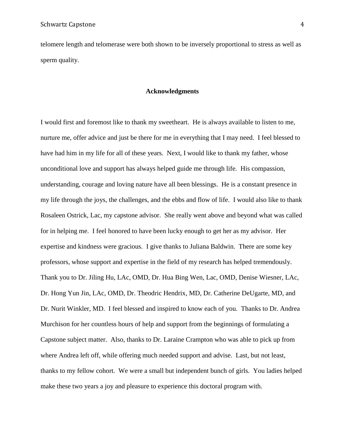telomere length and telomerase were both shown to be inversely proportional to stress as well as sperm quality.

#### **Acknowledgments**

I would first and foremost like to thank my sweetheart. He is always available to listen to me, nurture me, offer advice and just be there for me in everything that I may need. I feel blessed to have had him in my life for all of these years. Next, I would like to thank my father, whose unconditional love and support has always helped guide me through life. His compassion, understanding, courage and loving nature have all been blessings. He is a constant presence in my life through the joys, the challenges, and the ebbs and flow of life. I would also like to thank Rosaleen Ostrick, Lac, my capstone advisor. She really went above and beyond what was called for in helping me. I feel honored to have been lucky enough to get her as my advisor. Her expertise and kindness were gracious. I give thanks to Juliana Baldwin. There are some key professors, whose support and expertise in the field of my research has helped tremendously. Thank you to Dr. Jiling Hu, LAc, OMD, Dr. Hua Bing Wen, Lac, OMD, Denise Wiesner, LAc, Dr. Hong Yun Jin, LAc, OMD, Dr. Theodric Hendrix, MD, Dr. Catherine DeUgarte, MD, and Dr. Nurit Winkler, MD. I feel blessed and inspired to know each of you. Thanks to Dr. Andrea Murchison for her countless hours of help and support from the beginnings of formulating a Capstone subject matter. Also, thanks to Dr. Laraine Crampton who was able to pick up from where Andrea left off, while offering much needed support and advise. Last, but not least, thanks to my fellow cohort. We were a small but independent bunch of girls. You ladies helped make these two years a joy and pleasure to experience this doctoral program with.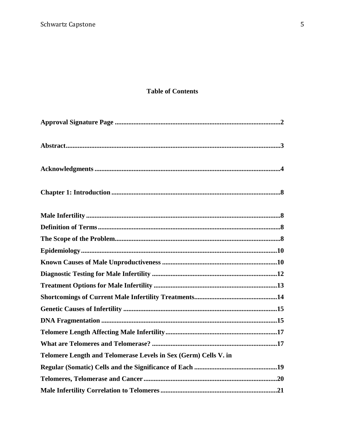# **Table of Contents**

| Telomere Length and Telomerase Levels in Sex (Germ) Cells V. in |  |
|-----------------------------------------------------------------|--|
|                                                                 |  |
|                                                                 |  |
|                                                                 |  |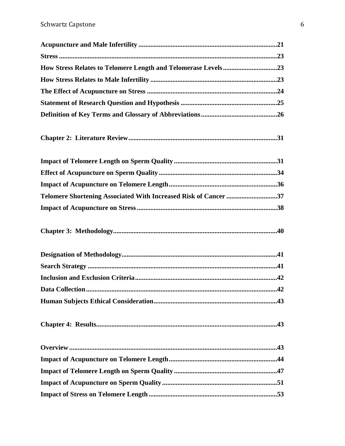| How Stress Relates to Telomere Length and Telomerase Levels23   |  |
|-----------------------------------------------------------------|--|
|                                                                 |  |
|                                                                 |  |
|                                                                 |  |
|                                                                 |  |
|                                                                 |  |
|                                                                 |  |
|                                                                 |  |
|                                                                 |  |
| Telomere Shortening Associated With Increased Risk of Cancer 37 |  |
|                                                                 |  |
|                                                                 |  |
|                                                                 |  |
|                                                                 |  |
|                                                                 |  |
|                                                                 |  |
|                                                                 |  |
|                                                                 |  |
|                                                                 |  |
|                                                                 |  |
|                                                                 |  |
|                                                                 |  |
|                                                                 |  |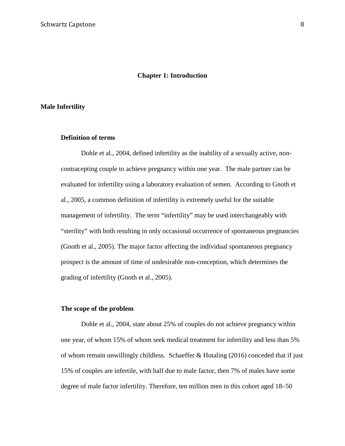#### **Chapter 1: Introduction**

#### **Male Infertility**

#### **Definition of terms**

Dohle et al., 2004, defined infertility as the inability of a sexually active, noncontracepting couple to achieve pregnancy within one year. The male partner can be evaluated for infertility using a laboratory evaluation of semen. According to Gnoth et al., 2005, a common definition of infertility is extremely useful for the suitable management of infertility. The term "infertility" may be used interchangeably with "sterility" with both resulting in only occasional occurrence of spontaneous pregnancies (Gnoth et al., 2005). The major factor affecting the individual spontaneous pregnancy prospect is the amount of time of undesirable non-conception, which determines the grading of infertility (Gnoth et al., 2005).

#### **The scope of the problem**

Dohle et al., 2004, state about 25% of couples do not achieve pregnancy within one year, of whom 15% of whom seek medical treatment for infertility and less than 5% of whom remain unwillingly childless*.* Schaeffer & Hotaling (2016) conceded that if just 15% of couples are infertile, with half due to male factor, then 7% of males have some degree of male factor infertility. Therefore, ten million men in this cohort aged 18–50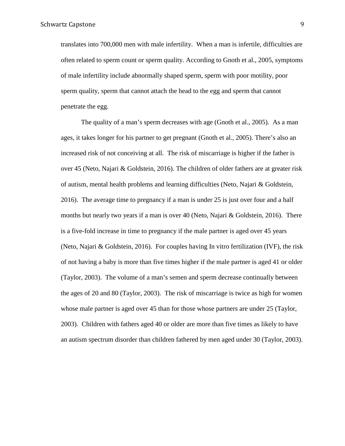translates into 700,000 men with male infertility. When a man is infertile, difficulties are often related to [sperm count or sperm quality.](http://attainfertility.com/article/semen-analysis) According to Gnoth et al., 2005, symptoms of male infertility include abnormally shaped sperm, sperm with poor motility, poor sperm quality, sperm that cannot attach the head to the egg and sperm that cannot penetrate the egg.

The quality of a man's sperm decreases with age (Gnoth et al., 2005). As a man ages, it takes longer for his partner to get pregnant (Gnoth et al., 2005). There's also an increased risk of not conceiving at all. The risk of miscarriage is higher if the father is over 45 (Neto, Najari & Goldstein, 2016). The children of older fathers are at greater risk of autism, mental health problems and learning difficulties (Neto, Najari & Goldstein, 2016). The average time to pregnancy if a man is under 25 is just over four and a half months but nearly two years if a man is over 40 (Neto, Najari & Goldstein, 2016). There is a five-fold increase in time to pregnancy if the male partner is aged over 45 years (Neto, Najari & Goldstein, 2016). For couples having In vitro fertilization (IVF), the risk of not having a baby is more than five times higher if the male partner is aged 41 or older (Taylor, 2003). The volume of a man's semen and sperm decrease continually between the ages of 20 and 80 (Taylor, 2003). The risk of miscarriage is twice as high for women whose male partner is aged over 45 than for those whose partners are under 25 (Taylor, 2003). Children with fathers aged 40 or older are more than five times as likely to have an autism spectrum disorder than children fathered by men aged under 30 (Taylor, 2003).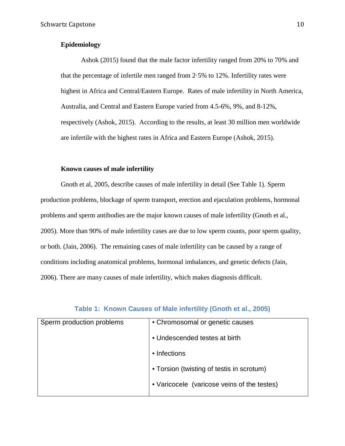## **Epidemiology**

Ashok (2015) found that the male factor infertility ranged from 20% to 70% and that the percentage of infertile men ranged from 2·5% to 12%. Infertility rates were highest in Africa and Central/Eastern Europe. Rates of male infertility in North America, Australia, and Central and Eastern Europe varied from 4.5-6%, 9%, and 8-12%, respectively (Ashok, 2015). According to the results, at least 30 million men worldwide are infertile with the highest rates in Africa and Eastern Europe (Ashok, 2015).

#### **Known causes of male infertility**

Gnoth et al, 2005, describe causes of male infertility in detail (See Table 1). Sperm production problems, blockage of sperm transport, erection and ejaculation problems, hormonal problems and sperm antibodies are the major known causes of male infertility (Gnoth et al., 2005). More than 90% of male infertility cases are due to low sperm counts, poor sperm quality, or both. (Jain, 2006). The remaining cases of male infertility can be caused by a range of conditions including anatomical problems, hormonal imbalances, and genetic defects (Jain, 2006). There are many causes of male infertility, which makes diagnosis difficult.

| Sperm production problems | • Chromosomal or genetic causes             |
|---------------------------|---------------------------------------------|
|                           | • Undescended testes at birth               |
|                           | • Infections                                |
|                           | • Torsion (twisting of testis in scrotum)   |
|                           | • Varicocele (varicose veins of the testes) |
|                           |                                             |

## **Table 1: Known Causes of Male infertility (Gnoth et al., 2005)**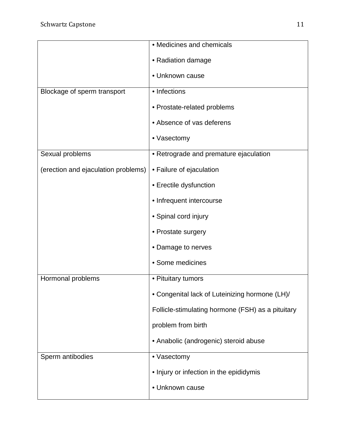|                                     | • Medicines and chemicals                         |
|-------------------------------------|---------------------------------------------------|
|                                     | • Radiation damage                                |
|                                     | • Unknown cause                                   |
| Blockage of sperm transport         | • Infections                                      |
|                                     | • Prostate-related problems                       |
|                                     | • Absence of vas deferens                         |
|                                     | • Vasectomy                                       |
| Sexual problems                     | • Retrograde and premature ejaculation            |
| (erection and ejaculation problems) | • Failure of ejaculation                          |
|                                     | • Erectile dysfunction                            |
|                                     | • Infrequent intercourse                          |
|                                     | • Spinal cord injury                              |
|                                     | • Prostate surgery                                |
|                                     | • Damage to nerves                                |
|                                     | • Some medicines                                  |
| Hormonal problems                   | • Pituitary tumors                                |
|                                     | • Congenital lack of Luteinizing hormone (LH)/    |
|                                     | Follicle-stimulating hormone (FSH) as a pituitary |
|                                     | problem from birth                                |
|                                     | • Anabolic (androgenic) steroid abuse             |
| Sperm antibodies                    | • Vasectomy                                       |
|                                     | • Injury or infection in the epididymis           |
|                                     | • Unknown cause                                   |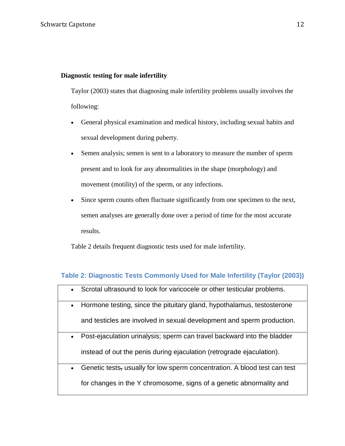## **Diagnostic testing for male infertility**

Taylor (2003) states that diagnosing male infertility problems usually involves the following:

- General physical examination and medical history, including sexual habits and sexual development during puberty.
- Semen analysis; semen is sent to a laboratory to measure the number of sperm present and to look for any abnormalities in the shape (morphology) and movement (motility) of the sperm, or any infections.
- Since sperm counts often fluctuate significantly from one specimen to the next, semen analyses are generally done over a period of time for the most accurate results.

Table 2 details frequent diagnostic tests used for male infertility.

# **Table 2: Diagnostic Tests Commonly Used for Male Infertility (Taylor (2003))**

| $\bullet$ | Scrotal ultrasound to look for varicocele or other testicular problems.               |
|-----------|---------------------------------------------------------------------------------------|
| $\bullet$ | Hormone testing, since the pituitary gland, hypothalamus, testosterone                |
|           | and testicles are involved in sexual development and sperm production.                |
| $\bullet$ | Post-ejaculation urinalysis; sperm can travel backward into the bladder               |
|           | instead of out the penis during ejaculation (retrograde ejaculation).                 |
| $\bullet$ | Genetic tests <sub>r</sub> usually for low sperm concentration. A blood test can test |
|           | for changes in the Y chromosome, signs of a genetic abnormality and                   |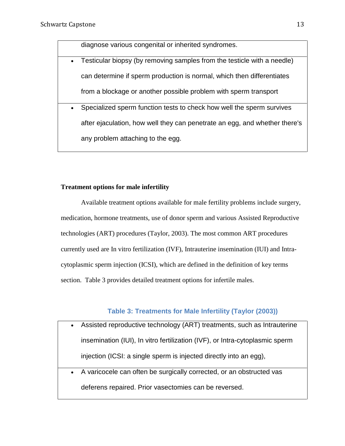diagnose various congenital or inherited syndromes. • Testicular biopsy (by removing samples from the testicle with a needle) can determine if sperm production is normal, which then differentiates from a blockage or another possible problem with sperm transport • Specialized sperm function tests to check how well the sperm survives after ejaculation, how well they can penetrate an egg, and whether there's any problem attaching to the egg.

## **Treatment options for male infertility**

Available treatment options available for male fertility problems include surgery, medication, hormone treatments, use of donor sperm and various Assisted Reproductive technologies (ART) procedures (Taylor, 2003). The most common ART procedures currently used are In vitro fertilization (IVF), Intrauterine insemination (IUI) and Intracytoplasmic sperm injection (ICSI), which are defined in the definition of key terms section. Table 3 provides detailed treatment options for infertile males.

# **Table 3: Treatments for Male Infertility (Taylor (2003))**

- Assisted reproductive technology (ART) treatments, such as Intrauterine insemination (IUI), In vitro fertilization (IVF), or Intra-cytoplasmic sperm injection (ICSI: a single sperm is injected directly into an egg),
	- A varicocele can often be surgically corrected, or an obstructed vas deferens repaired. Prior vasectomies can be reversed.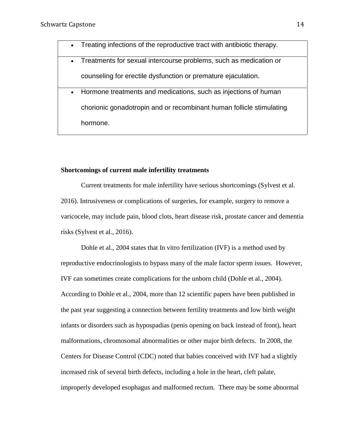| $\bullet$ | Treating infections of the reproductive tract with antibiotic therapy. |
|-----------|------------------------------------------------------------------------|
|           | Treatments for sexual intercourse problems, such as medication or      |
|           | counseling for erectile dysfunction or premature ejaculation.          |
| $\bullet$ | Hormone treatments and medications, such as injections of human        |
|           | chorionic gonadotropin and or recombinant human follicle stimulating   |
|           | hormone.                                                               |
|           |                                                                        |

#### **Shortcomings of current male infertility treatments**

Current treatments for male infertility have serious shortcomings (Sylvest et al. 2016). Intrusiveness or complications of surgeries, for example, surgery to remove a varicocele, may include pain, blood clots, heart disease risk, prostate cancer and dementia risks (Sylvest et al., 2016).

Dohle et al., 2004 states that In vitro fertilization (IVF) is a method used by reproductive endocrinologists to bypass many of the male factor sperm issues. However, IVF can sometimes create complications for the unborn child (Dohle et al., 2004). According to Dohle et al., 2004*,* more than 12 scientific papers have been published in the past year suggesting a connection between fertility treatments and low birth weight infants or disorders such as hypospadias (penis opening on back instead of front), heart malformations, chromosomal abnormalities or other major birth defects. In 2008, the Centers for Disease Control (CDC) noted that babies conceived with IVF had a slightly increased risk of several birth defects, including a hole in the heart, cleft palate, improperly developed esophagus and malformed rectum. There may be some abnormal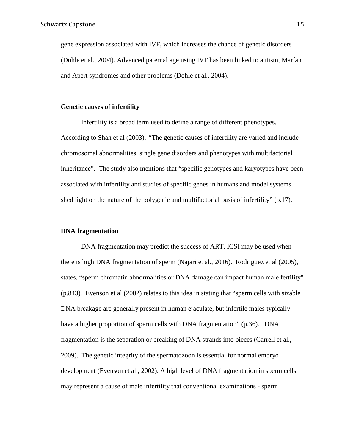gene expression associated with IVF, which increases the chance of genetic disorders (Dohle et al., 2004). Advanced paternal age using IVF has been linked to autism, Marfan and Apert syndromes and other problems (Dohle et al., 2004).

#### **Genetic causes of infertility**

Infertility is a broad term used to define a range of different phenotypes. According to Shah et al (2003), *"*The genetic causes of infertility are varied and include chromosomal abnormalities, single gene disorders and phenotypes with multifactorial inheritance". The study also mentions that "specific genotypes and karyotypes have been associated with infertility and studies of specific genes in humans and model systems shed light on the nature of the polygenic and multifactorial basis of infertility" (p.17).

#### **DNA fragmentation**

DNA fragmentation may predict the success of ART. ICSI may be used when there is high DNA fragmentation of sperm (Najari et al., 2016). Rodriguez et al (2005), states, "sperm chromatin abnormalities or DNA damage can impact human male fertility" (p.843). Evenson et al (2002) relates to this idea in stating that "sperm cells with sizable DNA breakage are generally present in human ejaculate, but infertile males typically have a higher proportion of sperm cells with DNA fragmentation" (p.36). DNA fragmentation is the separation or breaking of DNA strands into pieces (Carrell et al., 2009). The genetic integrity of the spermatozoon is essential for normal embryo development (Evenson et al., 2002). A high level of DNA fragmentation in sperm cells may represent a cause of male infertility that conventional examinations - sperm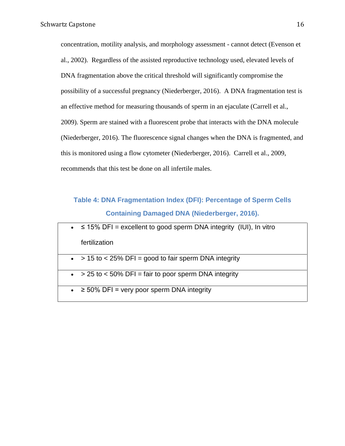concentration, motility analysis, and morphology assessment - cannot detect (Evenson et al., 2002). Regardless of the assisted reproductive technology used, elevated levels of DNA fragmentation above the critical threshold will significantly compromise the possibility of a successful pregnancy (Niederberger, 2016). A DNA fragmentation test is an effective method for measuring thousands of sperm in an ejaculate (Carrell et al., 2009). Sperm are stained with a fluorescent probe that interacts with the DNA molecule (Niederberger, 2016). The fluorescence signal changes when the DNA is fragmented, and this is monitored using a flow cytometer (Niederberger, 2016). Carrell et al., 2009, recommends that this test be done on all infertile males.

# **Table 4: DNA Fragmentation Index (DFI): Percentage of Sperm Cells Containing Damaged DNA (Niederberger, 2016).**

| • $\leq$ 15% DFI = excellent to good sperm DNA integrity (IUI), In vitro |
|--------------------------------------------------------------------------|
| fertilization                                                            |
| $\bullet$ > 15 to < 25% DFI = good to fair sperm DNA integrity           |
| $\bullet$ > 25 to < 50% DFI = fair to poor sperm DNA integrity           |
| $\bullet$ $\geq$ 50% DFI = very poor sperm DNA integrity                 |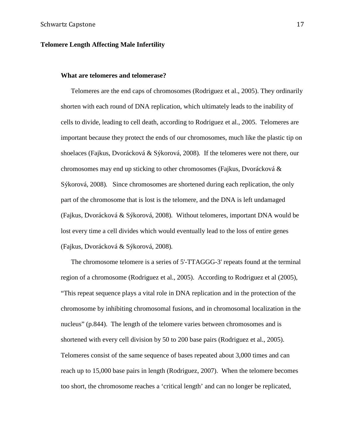#### **Telomere Length Affecting Male Infertility**

#### **What are telomeres and telomerase?**

Telomeres are the end caps of chromosomes (Rodriguez et al., 2005). They ordinarily shorten with each round of DNA replication, which ultimately leads to the inability of cells to divide, leading to cell death, according to Rodriguez et al., 2005. Telomeres are important because they protect the ends of our chromosomes, much like the plastic tip on shoelaces (Fajkus, Dvorácková & Sýkorová, 2008)*.* If the telomeres were not there, our chromosomes may end up sticking to other chromosomes (Fajkus, Dvorácková & Sýkorová, 2008)*.* Since chromosomes are shortened during each replication, the only part of the chromosome that is lost is the telomere, and the DNA is left undamaged (Fajkus, Dvorácková & Sýkorová, 2008)*.* Without telomeres, important DNA would be lost every time a cell divides which would eventually lead to the loss of entire genes (Fajkus, Dvorácková & Sýkorová, 2008)*.* 

The chromosome telomere is a series of 5'-TTAGGG-3' repeats found at the terminal region of a chromosome (Rodriguez et al., 2005). According to Rodriguez et al (2005), "This repeat sequence plays a vital role in DNA replication and in the protection of the chromosome by inhibiting chromosomal fusions, and in chromosomal localization in the nucleus" (p.844). The length of the telomere varies between chromosomes and is shortened with every cell division by 50 to 200 base pairs (Rodriguez et al., 2005). Telomeres consist of the same sequence of bases repeated about 3,000 times and can reach up to 15,000 base pairs in length (Rodriguez, 2007). When the telomere becomes too short, the chromosome reaches a 'critical length' and can no longer be replicated,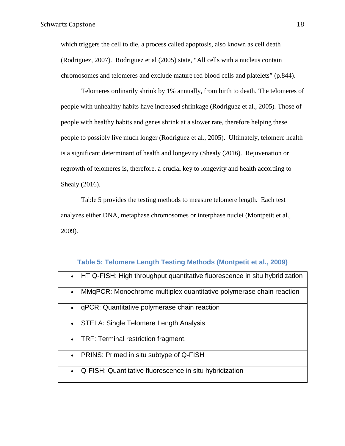which triggers the cell to die, a process called apoptosis, also known as cell death (Rodriguez, 2007). Rodriguez et al (2005) state, "All cells with a nucleus contain chromosomes and telomeres and exclude mature red blood cells and platelets" (p.844).

Telomeres ordinarily shrink by 1% annually, from birth to death. The telomeres of people with unhealthy habits have increased shrinkage (Rodriguez et al., 2005)*.* Those of people with healthy habits and genes shrink at a slower rate, therefore helping these people to possibly live much longer (Rodriguez et al., 2005). Ultimately, telomere health is a significant determinant of health and longevity (Shealy (2016). Rejuvenation or regrowth of telomeres is, therefore, a crucial key to longevity and health according to Shealy (2016).

Table 5 provides the testing methods to measure telomere length. Each test analyzes either DNA, metaphase chromosomes or interphase nuclei (Montpetit et al., 2009).

### **Table 5: Telomere Length Testing Methods (Montpetit et al., 2009)**

| HT Q-FISH: High throughput quantitative fluorescence in situ hybridization       |
|----------------------------------------------------------------------------------|
| MMqPCR: Monochrome multiplex quantitative polymerase chain reaction<br>$\bullet$ |
| qPCR: Quantitative polymerase chain reaction                                     |
| <b>STELA: Single Telomere Length Analysis</b>                                    |
| TRF: Terminal restriction fragment.<br>$\bullet$                                 |
| PRINS: Primed in situ subtype of Q-FISH<br>$\bullet$                             |
| Q-FISH: Quantitative fluorescence in situ hybridization                          |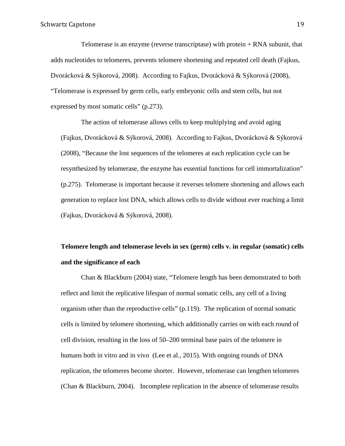Telomerase is an enzyme (reverse transcriptase) with protein + RNA subunit, that adds nucleotides to telomeres, prevents telomere shortening and repeated cell death (Fajkus, Dvorácková & Sýkorová, 2008). According to Fajkus, Dvorácková & Sýkorová (2008), "Telomerase is expressed by germ cells, early embryonic cells and stem cells, but not expressed by most somatic cells" (p.273).

The action of telomerase allows cells to keep multiplying and avoid aging (Fajkus, Dvorácková & Sýkorová, 2008). According to Fajkus, Dvorácková & Sýkorová (2008), "Because the lost sequences of the telomeres at each replication cycle can be resynthesized by telomerase, the enzyme has essential functions for cell immortalization" (p.275). Telomerase is important because it reverses telomere shortening and allows each generation to replace lost DNA, which allows cells to divide without ever reaching a limit (Fajkus, Dvorácková & Sýkorová, 2008).

# **Telomere length and telomerase levels in sex (germ) cells v. in regular (somatic) cells and the significance of each**

Chan & Blackburn (2004) state, "Telomere length has been demonstrated to both reflect and limit the replicative lifespan of normal somatic cells, any cell of a living organism other than the reproductive cells" (p.119). The replication of normal somatic cells is limited by telomere shortening, which additionally carries on with each round of cell division, resulting in the loss of 50–200 terminal base pairs of the telomere in humans both in vitro and in vivo (Lee et al., 2015). With ongoing rounds of DNA replication, the telomeres become shorter. However, telomerase can lengthen telomeres (Chan & Blackburn, 2004). Incomplete replication in the absence of telomerase results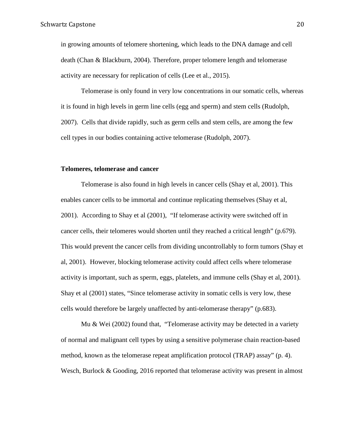in growing amounts of telomere shortening, which leads to the DNA damage and cell death (Chan & Blackburn, 2004). Therefore, proper telomere length and telomerase activity are necessary for replication of cells (Lee et al., 2015).

Telomerase is only found in very low concentrations in our somatic cells, whereas it is found in high levels in germ line cells (egg and sperm) and stem cells (Rudolph, 2007). Cells that divide rapidly, such as germ cells and stem cells, are among the few cell types in our bodies containing active telomerase (Rudolph, 2007).

#### **Telomeres, telomerase and cancer**

Telomerase is also found in high levels in cancer cells (Shay et al, 2001). This enables cancer cells to be immortal and continue replicating themselves (Shay et al, 2001). According to Shay et al (2001), "If telomerase activity were switched off in cancer cells, their telomeres would shorten until they reached a critical length" (p.679). This would prevent the cancer cells from dividing uncontrollably to form tumors (Shay et al, 2001). However, blocking telomerase activity could affect cells where telomerase activity is important, such as sperm, eggs, platelets, and immune cells (Shay et al, 2001). Shay et al (2001) states, "Since telomerase activity in somatic cells is very low, these cells would therefore be largely unaffected by anti-telomerase therapy" (p.683).

Mu & Wei (2002) found that, "Telomerase activity may be detected in a variety of normal and malignant cell types by using a sensitive polymerase chain reaction-based method, known as the telomerase repeat amplification protocol (TRAP) assay" (p. 4). Wesch, Burlock & Gooding, 2016 reported that telomerase activity was present in almost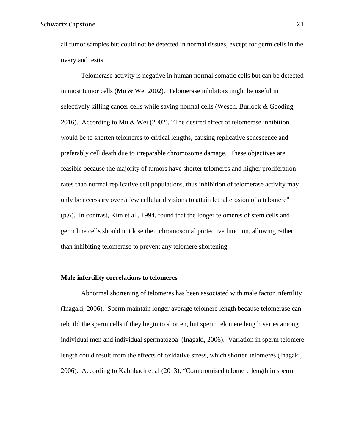all tumor samples but could not be detected in normal tissues, except for germ cells in the ovary and testis.

Telomerase activity is negative in human normal somatic cells but can be detected in most tumor cells (Mu & Wei 2002). Telomerase inhibitors might be useful in selectively killing cancer cells while saving normal cells (Wesch, Burlock & Gooding, 2016). According to Mu & Wei (2002), "The desired effect of telomerase inhibition would be to shorten telomeres to critical lengths, causing replicative senescence and preferably cell death due to irreparable chromosome damage. These objectives are feasible because the majority of tumors have shorter telomeres and higher proliferation rates than normal replicative cell populations, thus inhibition of telomerase activity may only be necessary over a few cellular divisions to attain lethal erosion of a telomere" (p.6). In contrast, Kim et al., 1994, found that the longer telomeres of stem cells and germ line cells should not lose their chromosomal protective function, allowing rather than inhibiting telomerase to prevent any telomere shortening.

#### **Male infertility correlations to telomeres**

Abnormal shortening of telomeres has been associated with male factor infertility (Inagaki, 2006). Sperm maintain longer average telomere length because telomerase can rebuild the sperm cells if they begin to shorten, but sperm telomere length varies among individual men and individual spermatozoa (Inagaki, 2006). Variation in sperm telomere length could result from the effects of oxidative stress, which shorten telomeres (Inagaki, 2006). According to Kalmbach et al (2013), "Compromised telomere length in sperm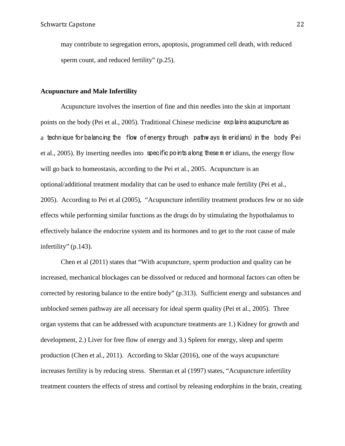may contribute to segregation errors, apoptosis, programmed cell death, with reduced sperm count, and reduced fertility" (p.25).

#### **Acupuncture and Male Infertility**

Acupuncture involves the insertion of fine and thin needles into the skin at important points on the body (Pei et al., 2005). Traditional Chinese medicine explains acupuncture as a technique for balancing the flow of energy through pathw ays (m eridians) in the body (Pei et al., 2005). By inserting needles into specific points along these m eridians, the energy flow will go back to homeostasis, according to the Pei et al., 2005. Acupuncture is an optional/additional treatment modality that can be used to enhance male fertility (Pei et al., 2005). According to Pei et al (2005), "Acupuncture infertility treatment produces few or no side effects while performing similar functions as the drugs do by stimulating the hypothalamus to effectively balance the endocrine system and its hormones and to get to the root cause of male infertility" (p.143).

Chen et al (2011) states that "With acupuncture, sperm production and quality can be increased, mechanical blockages can be dissolved or reduced and hormonal factors can often be corrected by restoring balance to the entire body" (p.313). Sufficient energy and substances and unblocked semen pathway are all necessary for ideal sperm quality (Pei et al., 2005). Three organ systems that can be addressed with acupuncture treatments are 1.) Kidney for growth and development, 2.) Liver for free flow of energy and 3.) Spleen for energy, sleep and sperm production (Chen et al., 2011). According to Sklar (2016), one of the ways acupuncture increases fertility is by reducing stress. Sherman et al (1997) states, "Acupuncture infertility treatment counters the effects of stress and cortisol by releasing endorphins in the brain, creating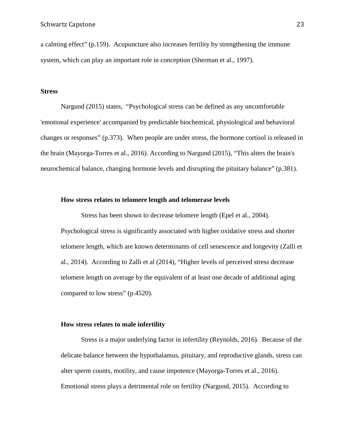a calming effect" (p.159). Acupuncture also increases fertility by strengthening the immune system, which can play an important role in conception (Sherman et al., 1997).

#### **Stress**

Nargund (2015) states, "Psychological stress can be defined as any uncomfortable 'emotional experience' accompanied by predictable biochemical, physiological and behavioral changes or responses" (p.373). When people are under stress, the hormone cortisol is released in the brain (Mayorga-Torres et al., 2016). According to Nargund (2015), "This alters the brain's neurochemical balance, changing hormone levels and disrupting the pituitary balance" (p.381).

#### **How stress relates to telomere length and telomerase levels**

Stress has been shown to decrease telomere length (Epel et al., 2004). Psychological stress is significantly associated with higher oxidative stress and shorter telomere length, which are known determinants of cell senescence and longevity (Zalli et al., 2014). According to Zalli et al (2014), "Higher levels of perceived stress decrease telomere length on average by the equivalent of at least one decade of additional aging compared to low stress" (p.4520).

#### **How stress relates to male infertility**

Stress is a major underlying factor in infertility (Reynolds, 2016)*.* Because of the delicate balance between the hypothalamus, pituitary, and reproductive glands, stress can alter sperm counts, motility, and cause impotence (Mayorga-Torres et al., 2016). Emotional stress plays a detrimental role on fertility (Nargund, 2015). According to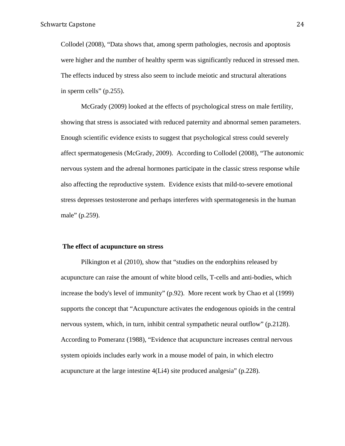Collodel (2008), "Data shows that, among sperm pathologies, necrosis and apoptosis were higher and the number of healthy sperm was significantly reduced in stressed men. The effects induced by stress also seem to include meiotic and structural alterations in sperm cells" (p.255).

McGrady (2009) looked at the effects of psychological stress on male fertility, showing that stress is associated with reduced paternity and abnormal semen parameters. Enough scientific evidence exists to suggest that psychological stress could severely affect spermatogenesis (McGrady, 2009). According to Collodel (2008), "The autonomic nervous system and the adrenal hormones participate in the classic stress response while also affecting the reproductive system. Evidence exists that mild-to-severe emotional stress depresses testosterone and perhaps interferes with spermatogenesis in the human male" (p.259).

#### **The effect of acupuncture on stress**

Pilkington et al (2010), show that "studies on the endorphins released by acupuncture can raise the amount of white blood cells, T-cells and anti-bodies, which increase the body's level of immunity" (p.92). More recent work by Chao et al (1999) supports the concept that "Acupuncture activates the endogenous opioids in the central nervous system, which, in turn, inhibit central sympathetic neural outflow" (p.2128). According to Pomeranz (1988), "Evidence that acupuncture increases central nervous system opioids includes early work in a mouse model of pain, in which electro acupuncture at the large intestine 4(Li4) site produced analgesia" (p.228).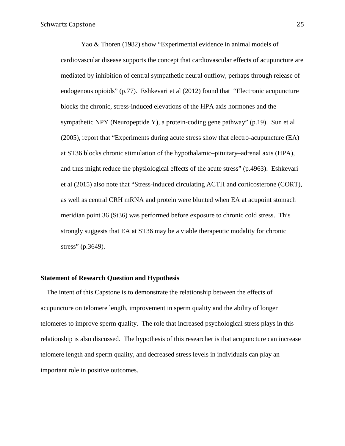Yao & Thoren (1982) show "Experimental evidence in animal models of cardiovascular disease supports the concept that cardiovascular effects of acupuncture are mediated by inhibition of central sympathetic neural outflow, perhaps through release of endogenous opioids" (p.77). Eshkevari et al (2012) found that "Electronic acupuncture blocks the chronic, stress-induced elevations of the HPA axis hormones and the sympathetic NPY (Neuropeptide Y), a protein-coding gene pathway" (p.19). Sun et al (2005), report that "Experiments during acute stress show that electro-acupuncture (EA) at ST36 blocks chronic stimulation of the hypothalamic–pituitary–adrenal axis (HPA), and thus might reduce the physiological effects of the acute stress" (p.4963). Eshkevari et al (2015) also note that "Stress-induced circulating ACTH and corticosterone (CORT), as well as central CRH mRNA and protein were blunted when EA at acupoint stomach meridian point 36 (St36) was performed before exposure to chronic cold stress. This strongly suggests that EA at ST36 may be a viable therapeutic modality for chronic stress" (p.3649).

#### **Statement of Research Question and Hypothesis**

The intent of this Capstone is to demonstrate the relationship between the effects of acupuncture on telomere length, improvement in sperm quality and the ability of longer telomeres to improve sperm quality. The role that increased psychological stress plays in this relationship is also discussed. The hypothesis of this researcher is that acupuncture can increase telomere length and sperm quality, and decreased stress levels in individuals can play an important role in positive outcomes.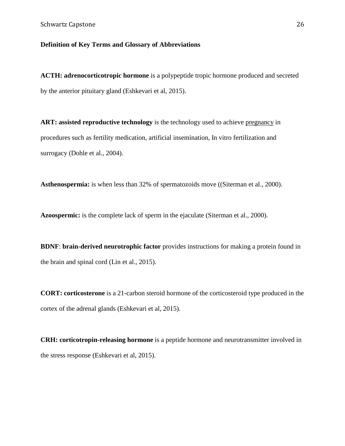## **Definition of Key Terms and Glossary of Abbreviations**

**ACTH: adrenocorticotropic hormone** is a polypeptide tropic hormone produced and secreted by the anterior pituitary gland (Eshkevari et al, 2015).

ART: assisted reproductive technology is the technology used to achieve [pregnancy](https://en.wikipedia.org/wiki/Pregnancy) in procedures such as fertility medication, artificial insemination, In vitro fertilization and surrogacy (Dohle et al., 2004).

**Asthenospermia:** is when less than 32% of spermatozoids move ((Siterman et al., 2000).

**Azoospermic:** is the complete lack of sperm in the ejaculate (Siterman et al., 2000).

**BDNF**: **brain-derived neurotrophic factor** provides instructions for making a protein found in the brain and spinal cord (Lin et al., 2015).

**CORT: corticosterone** is a 21-carbon steroid hormone of the corticosteroid type produced in the cortex of the adrenal glands (Eshkevari et al, 2015).

**CRH: corticotropin-releasing hormone** is a peptide hormone and neurotransmitter involved in the stress response (Eshkevari et al, 2015).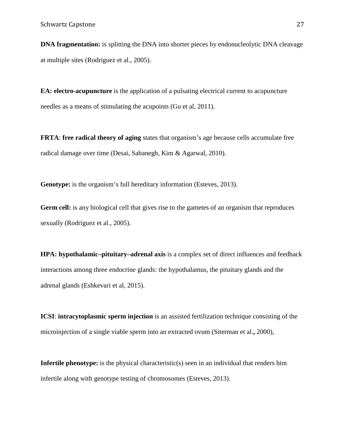**DNA fragmentation:** is splitting the DNA into shorter pieces by endonucleolytic DNA cleavage at multiple sites (Rodriguez et al., 2005).

**EA: electro-acupuncture** is the application of a pulsating electrical current to acupuncture needles as a means of stimulating the acupoints (Gu et al, 2011).

**FRTA**: **free radical theory of aging** states that organism's age because cells accumulate free radical damage over time (Desai, Sabanegh, Kim & Agarwal, 2010).

**Genotype:** is the organism's full hereditary information (Esteves, 2013).

Germ cell: is any biological cell that gives rise to the gametes of an organism that reproduces sexually (Rodriguez et al., 2005).

**HPA: hypothalamic–pituitary–adrenal axis** is a complex set of direct influences and feedback interactions among three endocrine glands: the hypothalamus, the pituitary glands and the adrenal glands (Eshkevari et al, 2015).

**ICSI**: **intracytoplasmic sperm injection** is an assisted fertilization technique consisting of the microinjection of a single viable sperm into an extracted ovum (Siterman et al.**,** 2000),

**Infertile phenotype:** is the physical characteristic(s) seen in an individual that renders him infertile along with genotype testing of chromosomes (Esteves, 2013).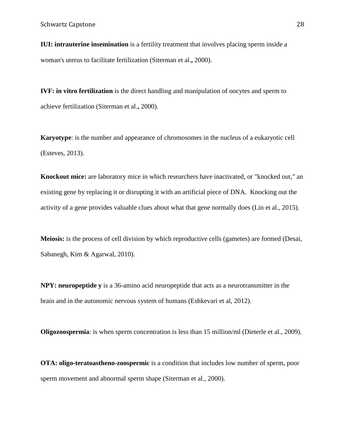**IUI: intrauterine insemination** is a fertility treatment that involves placing sperm inside a woman's uterus to facilitate fertilization (Siterman et al.**,** 2000).

**IVF: in vitro fertilization** is the direct [handling](http://www.online-medical-dictionary.org/definitions-h/handling.html) and manipulation of oocytes and [sperm](http://www.online-medical-dictionary.org/definitions-s/sperm.html) to achieve [fertilization](http://www.online-medical-dictionary.org/definitions-f/fertilization.html) (Siterman et al.**,** 2000).

**Karyotype**: is the number and appearance of chromosomes in the nucleus of a eukaryotic cell (Esteves, 2013).

**Knockout mice:** are laboratory mice in which researchers have inactivated, or "knocked out," an existing gene by replacing it or disrupting it with an artificial piece of DNA. Knocking out the activity of a gene provides valuable clues about what that gene normally does (Lin et al., 2015).

**Meiosis:** is the process of cell division by which reproductive cells (gametes) are formed (Desai, Sabanegh, Kim & Agarwal, 2010).

**NPY: neuropeptide y** is a 36-amino acid neuropeptide that acts as a neurotransmitter in the brain and in the autonomic nervous system of humans (Eshkevari et al, 2012).

**Oligozoospermia**: is when sperm concentration is less than 15 million/ml (Dieterle et al., 2009).

**OTA: oligo-teratoastheno-zoospermic** is a condition that includes low number of sperm, poor sperm movement and abnormal sperm shape (Siterman et al., 2000).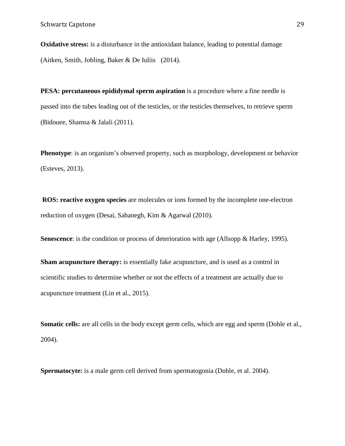**Oxidative stress:** is a disturbance in the antioxidant balance, leading to potential damage (Aitken, Smith, Jobling, Baker & De Iuliis (2014).

**PESA: percutaneous epididymal sperm aspiration** is a procedure where a fine needle is passed into the tubes leading out of the testicles, or the testicles themselves, to retrieve sperm (Bidouee, Shamsa & Jalali (2011).

**Phenotype**: is an organism's observed property, such as morphology, development or behavior (Esteves, 2013).

**ROS: reactive oxygen species** are molecules or ions formed by the incomplete one-electron reduction of oxygen (Desai, Sabanegh, Kim & Agarwal (2010).

**Senescence**: is the condition or process of deterioration with age (Allsopp & Harley, 1995).

**Sham acupuncture therapy:** is essentially fake acupuncture, and is used as a control in scientific studies to determine whether or not the effects of a treatment are actually due to acupuncture treatment (Lin et al., 2015).

**Somatic cells:** are all cells in the body except germ cells, which are egg and sperm (Dohle et al., 2004).

**Spermatocyte:** is a male germ cell derived from spermatogonia (Dohle, et al. 2004).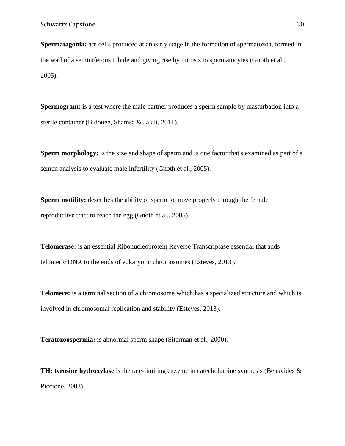**Spermatagonia:** are cells produced at an early stage in the formation of spermatozoa, formed in the wall of a seminiferous tubule and giving rise by mitosis to spermatocytes (Gnoth et al., 2005).

**Spermogram:** is a test where the male partner produces a sperm sample by masturbation into a sterile container (Bidouee, Shamsa & Jalali, 2011).

**Sperm morphology:** is the size and shape of sperm and is one factor that's examined as part of a semen analysis to evaluate male infertility (Gnoth et al., 2005).

**Sperm motility:** describes the ability of sperm to move properly through the female reproductive tract to reach the egg (Gnoth et al., 2005).

**Telomerase:** is an essential Ribonucleoprotein Reverse Transcriptase essential that adds telomeric DNA to the ends of eukaryotic chromosomes (Esteves, 2013).

**Telomere:** is a terminal section of a chromosome which has a specialized structure and which is involved in chromosomal replication and stability (Esteves, 2013).

**Teratozoospermia:** is abnormal sperm shape (Siterman et al., 2000).

**TH: tyrosine hydroxylase** is the rate-limiting enzyme in catecholamine synthesis (Benavides & Piccione, 2003).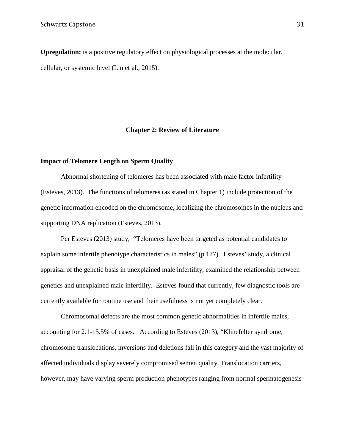**Upregulation:** is a positive regulatory effect on physiological processes at the molecular, cellular, or systemic level (Lin et al., 2015).

#### **Chapter 2: Review of Literature**

### **Impact of Telomere Length on Sperm Quality**

Abnormal shortening of telomeres has been associated with male factor infertility (Esteves, 2013). The functions of telomeres (as stated in Chapter 1) include protection of the genetic information encoded on the chromosome, localizing the chromosomes in the nucleus and supporting DNA replication (Esteves, 2013).

Per Esteves (2013) study, "Telomeres have been targeted as potential candidates to explain some infertile phenotype characteristics in males" (p.177). Esteves' study, a clinical appraisal of the genetic basis in unexplained male infertility, examined the relationship between genetics and unexplained male infertility. Esteves found that currently, few diagnostic tools are currently available for routine use and their usefulness is not yet completely clear.

Chromosomal defects are the most common genetic abnormalities in infertile males, accounting for 2.1-15.5% of cases. According to Esteves (2013), "Klinefelter syndrome, chromosome translocations, inversions and deletions fall in this category and the vast majority of affected individuals display severely compromised semen quality. Translocation carriers, however, may have varying sperm production phenotypes ranging from normal spermatogenesis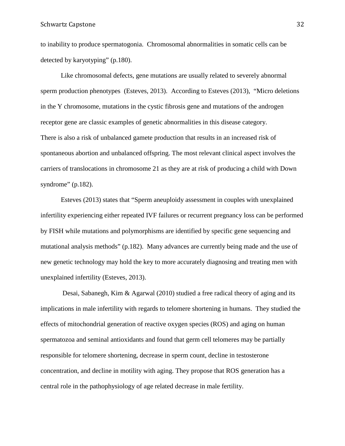to inability to produce spermatogonia. Chromosomal abnormalities in somatic cells can be detected by karyotyping" (p.180).

Like chromosomal defects, gene mutations are usually related to severely abnormal sperm production phenotypes (Esteves, 2013). According to Esteves (2013), "Micro deletions in the Y chromosome, mutations in the cystic fibrosis gene and mutations of the androgen receptor gene are classic examples of genetic abnormalities in this disease category. There is also a risk of unbalanced gamete production that results in an increased risk of spontaneous abortion and unbalanced offspring. The most relevant clinical aspect involves the carriers of translocations in chromosome 21 as they are at risk of producing a child with Down syndrome" (p.182).

Esteves (2013) states that "Sperm aneuploidy assessment in couples with unexplained infertility experiencing either repeated IVF failures or recurrent pregnancy loss can be performed by FISH while mutations and polymorphisms are identified by specific gene sequencing and mutational analysis methods" (p.182). Many advances are currently being made and the use of new genetic technology may hold the key to more accurately diagnosing and treating men with unexplained infertility (Esteves, 2013).

Desai, Sabanegh, Kim & Agarwal (2010) studied a free radical theory of aging and its implications in male infertility with regards to telomere shortening in humans. They studied the effects of mitochondrial generation of reactive oxygen species (ROS) and aging on human spermatozoa and seminal antioxidants and found that germ cell telomeres may be partially responsible for telomere shortening, decrease in sperm count, decline in testosterone concentration, and decline in motility with aging. They propose that ROS generation has a central role in the pathophysiology of age related decrease in male fertility.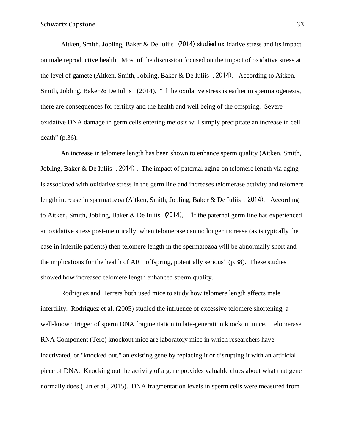Aitken, Smith, Jobling, Baker & De Iuliis (2014) studied ox idative stress and its impact on male reproductive health. Most of the discussion focused on the impact of oxidative stress at the level of gamete (Aitken, Smith, Jobling, Baker & De Iuliis , 2014). According to Aitken, Smith, Jobling, Baker & De Iuliis (2014), "If the oxidative stress is earlier in spermatogenesis, there are consequences for fertility and the health and well being of the offspring. Severe oxidative DNA damage in germ cells entering meiosis will simply precipitate an increase in cell death" (p.36).

An increase in telomere length has been shown to enhance sperm quality (Aitken, Smith, Jobling, Baker & De Iuliis, 2014). The impact of paternal aging on telomere length via aging is associated with oxidative stress in the germ line and increases telomerase activity and telomere length increase in spermatozoa (Aitken, Smith, Jobling, Baker & De Iuliis , 2014). According to Aitken, Smith, Jobling, Baker & De Iuliis (2014), "If the paternal germ line has experienced an oxidative stress post-meiotically, when telomerase can no longer increase (as is typically the case in infertile patients) then telomere length in the spermatozoa will be abnormally short and the implications for the health of ART offspring, potentially serious" (p.38). These studies showed how increased telomere length enhanced sperm quality.

Rodriguez and Herrera both used mice to study how telomere length affects male infertility. Rodriguez et al. (2005) studied the influence of excessive telomere shortening, a well-known trigger of sperm DNA fragmentation in late-generation knockout mice. Telomerase RNA Component (Terc) knockout mice are laboratory mice in which researchers have inactivated, or "knocked out," an existing gene by replacing it or disrupting it with an artificial piece of DNA. Knocking out the activity of a gene provides valuable clues about what that gene normally does (Lin et al., 2015).DNA fragmentation levels in sperm cells were measured from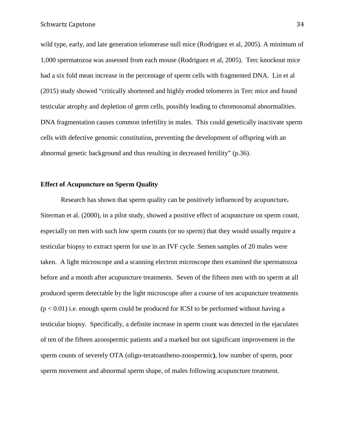wild type, early, and late generation telomerase null mice (Rodriguez et al, 2005). A minimum of 1,000 spermatozoa was assessed from each mouse (Rodriguez et al, 2005). Terc knockout mice had a six fold mean increase in the percentage of sperm cells with fragmented DNA. Lin et al (2015) study showed "critically shortened and highly eroded telomeres in Terc mice and found testicular atrophy and depletion of germ cells, possibly leading to chromosomal abnormalities. DNA fragmentation causes common infertility in males. This could genetically inactivate sperm cells with defective genomic constitution, preventing the development of offspring with an abnormal genetic background and thus resulting in decreased fertility" (p.36).

#### **Effect of Acupuncture on Sperm Quality**

Research has shown that sperm quality can be positively influenced by acupuncture**.**  Siterman et al. (2000), in a pilot study, showed a positive effect of acupuncture on sperm count, especially on men with such low sperm counts (or no sperm) that they would usually require a testicular biopsy to extract sperm for use in an IVF cycle. Semen samples of 20 males were taken. A light microscope and a scanning electron microscope then examined the spermatozoa before and a month after acupuncture treatments. Seven of the fifteen men with no sperm at all produced sperm detectable by the light microscope after a course of ten acupuncture treatments  $(p < 0.01)$  i.e. enough sperm could be produced for ICSI to be performed without having a testicular biopsy. Specifically, a definite increase in sperm count was detected in the ejaculates of ten of the fifteen azoospermic patients and a marked but not significant improvement in the sperm counts of severely OTA (oligo-teratoastheno-zoospermic**)**, low number of sperm, poor sperm movement and abnormal sperm shape, of males following acupuncture treatment.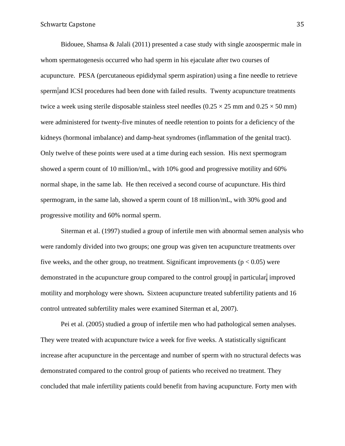Bidouee, Shamsa & Jalali (2011) presented a case study with single azoospermic male in whom spermatogenesis occurred who had sperm in his ejaculate after two courses of acupuncture. PESA (percutaneous epididymal sperm aspiration) using a fine needle to retrieve sperm and ICSI procedures had been done with failed results. Twenty acupuncture treatments twice a week using sterile disposable stainless steel needles  $(0.25 \times 25 \text{ mm and } 0.25 \times 50 \text{ mm})$ were administered for twenty-five minutes of needle retention to points for a deficiency of the kidneys (hormonal imbalance) and damp-heat syndromes (inflammation of the genital tract). Only twelve of these points were used at a time during each session. His next spermogram showed a sperm count of 10 million/mL, with 10% good and progressive motility and 60% normal shape, in the same lab. He then received a second course of acupuncture. His third spermogram, in the same lab, showed a sperm count of 18 million/mL, with 30% good and progressive motility and 60% normal sperm.

Siterman et al. (1997) studied a group of infertile men with abnormal semen analysis who were randomly divided into two groups; one group was given ten acupuncture treatments over five weeks, and the other group, no treatment. Significant improvements ( $p < 0.05$ ) were demonstrated in the acupuncture group compared to the control group; in particular, improved motility and morphology were shown**.** Sixteen acupuncture treated subfertility patients and 16 control untreated subfertility males were examined Siterman et al, 2007).

Pei et al. (2005) studied a group of infertile men who had pathological semen analyses. They were treated with acupuncture twice a week for five weeks. A statistically significant increase after acupuncture in the percentage and number of sperm with no structural defects was demonstrated compared to the control group of patients who received no treatment. They concluded that male infertility patients could benefit from having acupuncture. Forty men with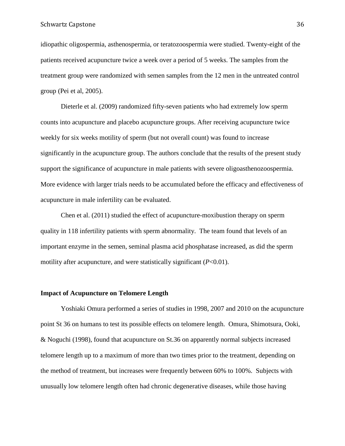#### Schwartz Capstone 36

idiopathic oligospermia, asthenospermia, or teratozoospermia were studied. Twenty-eight of the patients received acupuncture twice a week over a period of 5 weeks. The samples from the treatment group were randomized with semen samples from the 12 men in the untreated control group (Pei et al, 2005).

Dieterle et al. (2009) randomized fifty-seven patients who had extremely low sperm counts into acupuncture and placebo acupuncture groups. After receiving acupuncture twice weekly for six weeks motility of sperm (but not overall count) was found to increase significantly in the acupuncture group. The authors conclude that the results of the present study support the significance of acupuncture in male patients with severe oligoasthenozoospermia. More evidence with larger trials needs to be accumulated before the efficacy and effectiveness of acupuncture in male infertility can be evaluated.

Chen et al. (2011) studied the effect of acupuncture-moxibustion therapy on sperm quality in 118 infertility patients with sperm abnormality. The team found that levels of an important enzyme in the semen, seminal plasma acid phosphatase increased, as did the sperm motility after acupuncture, and were statistically significant (*P*<0.01).

#### **Impact of Acupuncture on Telomere Length**

Yoshiaki Omura performed a series of studies in 1998, 2007 and 2010 on the acupuncture point St 36 on humans to test its possible effects on telomere length. Omura, Shimotsura, Ooki, & Noguchi (1998), found that acupuncture on St.36 on apparently normal subjects increased telomere length up to a maximum of more than two times prior to the treatment, depending on the method of treatment, but increases were frequently between 60% to 100%. Subjects with unusually low telomere length often had chronic degenerative diseases, while those having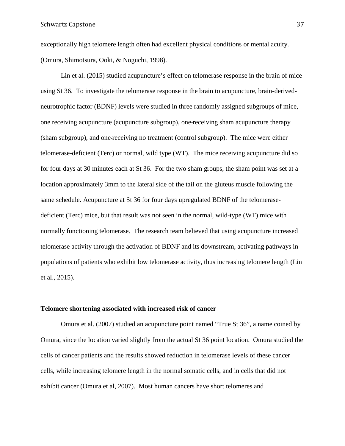exceptionally high telomere length often had excellent physical conditions or mental acuity. (Omura, Shimotsura, Ooki, & Noguchi, 1998).

Lin et al. (2015) studied acupuncture's effect on telomerase response in the brain of mice using St 36. To investigate the telomerase response in the brain to acupuncture, brain-derivedneurotrophic factor (BDNF) levels were studied in three randomly assigned subgroups of mice, one receiving acupuncture (acupuncture subgroup), one receiving sham acupuncture therapy (sham subgroup), and one receiving no treatment (control subgroup). The mice were either telomerase-deficient (Terc) or normal, wild type (WT). The mice receiving acupuncture did so for four days at 30 minutes each at St 36. For the two sham groups, the sham point was set at a location approximately 3mm to the lateral side of the tail on the gluteus muscle following the same schedule. Acupuncture at St 36 for four days upregulated BDNF of the telomerasedeficient (Terc) mice, but that result was not seen in the normal, wild-type (WT) mice with normally functioning telomerase. The research team believed that using acupuncture increased telomerase activity through the activation of BDNF and its downstream, activating pathways in populations of patients who exhibit low telomerase activity, thus increasing telomere length (Lin et al., 2015).

# **Telomere shortening associated with increased risk of cancer**

Omura et al. (2007) studied an acupuncture point named "True St 36", a name coined by Omura, since the location varied slightly from the actual St 36 point location. Omura studied the cells of cancer patients and the results showed reduction in telomerase levels of these cancer cells, while increasing telomere length in the normal somatic cells, and in cells that did not exhibit cancer (Omura et al, 2007). Most human cancers have short telomeres and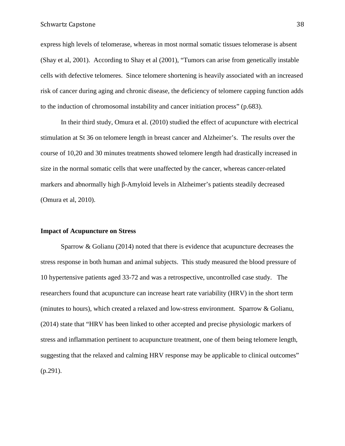express high levels of telomerase, whereas in most normal somatic tissues telomerase is absent (Shay et al, 2001). According to Shay et al (2001), "Tumors can arise from genetically instable cells with defective telomeres. Since telomere shortening is heavily associated with an increased risk of cancer during aging and chronic disease, the deficiency of telomere capping function adds to the induction of chromosomal instability and cancer initiation process" (p.683).

In their third study, Omura et al. (2010) studied the effect of acupuncture with electrical stimulation at St 36 on telomere length in breast cancer and Alzheimer's. The results over the course of 10,20 and 30 minutes treatments showed telomere length had drastically increased in size in the normal somatic cells that were unaffected by the cancer, whereas cancer-related markers and abnormally high β-Amyloid levels in Alzheimer's patients steadily decreased (Omura et al, 2010).

# **Impact of Acupuncture on Stress**

Sparrow  $\&$  Golianu (2014) noted that there is evidence that acupuncture decreases the stress response in both human and animal subjects. This study measured the blood pressure of 10 hypertensive patients aged 33-72 and was a retrospective, uncontrolled case study. The researchers found that acupuncture can increase heart rate variability (HRV) in the short term (minutes to hours), which created a relaxed and low-stress environment. Sparrow & Golianu, (2014) state that "HRV has been linked to other accepted and precise physiologic markers of stress and inflammation pertinent to acupuncture treatment, one of them being telomere length, suggesting that the relaxed and calming HRV response may be applicable to clinical outcomes" (p.291).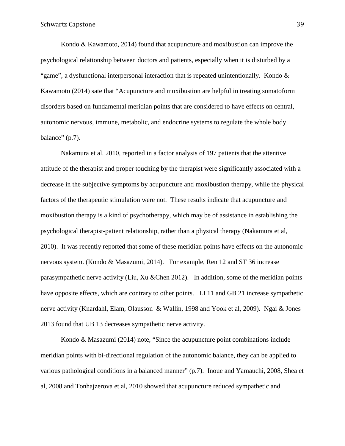#### Schwartz Capstone 39

Kondo & Kawamoto, 2014) found that acupuncture and moxibustion can improve the psychological relationship between doctors and patients, especially when it is disturbed by a "game", a dysfunctional interpersonal interaction that is repeated unintentionally. Kondo & Kawamoto (2014) sate that "Acupuncture and moxibustion are helpful in treating somatoform disorders based on fundamental meridian points that are considered to have effects on central, autonomic nervous, immune, metabolic, and endocrine systems to regulate the whole body balance" (p.7).

Nakamura et al. 2010, reported in a factor analysis of 197 patients that the attentive attitude of the therapist and proper touching by the therapist were significantly associated with a decrease in the subjective symptoms by acupuncture and moxibustion therapy, while the physical factors of the therapeutic stimulation were not. These results indicate that acupuncture and moxibustion therapy is a kind of psychotherapy, which may be of assistance in establishing the psychological therapist-patient relationship, rather than a physical therapy (Nakamura et al, 2010). It was recently reported that some of these meridian points have effects on the autonomic nervous system. (Kondo & Masazumi, 2014). For example, Ren 12 and ST 36 increase parasympathetic nerve activity (Liu, Xu &Chen 2012). In addition, some of the meridian points have opposite effects, which are contrary to other points. LI 11 and GB 21 increase sympathetic nerve activity (Knardahl, Elam, Olausson & Wallin, 1998 and Yook et al, 2009). Ngai & Jones 2013 found that UB 13 decreases sympathetic nerve activity.

Kondo & Masazumi (2014) note, "Since the acupuncture point combinations include meridian points with bi-directional regulation of the autonomic balance, they can be applied to various pathological conditions in a balanced manner" (p.7). Inoue and Yamauchi, 2008, Shea et al, 2008 and Tonhajzerova et al, 2010 showed that acupuncture reduced sympathetic and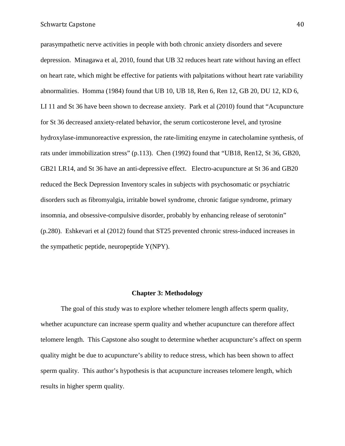parasympathetic nerve activities in people with both chronic anxiety disorders and severe depression. Minagawa et al, 2010, found that UB 32 reduces heart rate without having an effect on heart rate, which might be effective for patients with palpitations without heart rate variability abnormalities. Homma (1984) found that UB 10, UB 18, Ren 6, Ren 12, GB 20, DU 12, KD 6, LI 11 and St 36 have been shown to decrease anxiety. Park et al (2010) found that "Acupuncture for St 36 decreased anxiety-related behavior, the serum corticosterone level, and tyrosine hydroxylase-immunoreactive expression, the rate-limiting enzyme in catecholamine synthesis, of rats under immobilization stress" (p.113). Chen (1992) found that "UB18, Ren12, St 36, GB20, GB21 LR14, and St 36 have an anti-depressive effect. Electro-acupuncture at St 36 and GB20 reduced the Beck Depression Inventory scales in subjects with psychosomatic or psychiatric disorders such as fibromyalgia, irritable bowel syndrome, chronic fatigue syndrome, primary insomnia, and obsessive-compulsive disorder, probably by enhancing release of serotonin" (p.280). Eshkevari et al (2012) found that ST25 prevented chronic stress-induced increases in the sympathetic peptide, neuropeptide Y(NPY).

#### **Chapter 3: Methodology**

The goal of this study was to explore whether telomere length affects sperm quality, whether acupuncture can increase sperm quality and whether acupuncture can therefore affect telomere length. This Capstone also sought to determine whether acupuncture's affect on sperm quality might be due to acupuncture's ability to reduce stress, which has been shown to affect sperm quality. This author's hypothesis is that acupuncture increases telomere length, which results in higher sperm quality.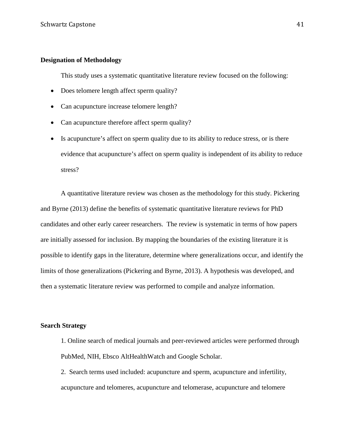# **Designation of Methodology**

This study uses a systematic quantitative literature review focused on the following:

- Does telomere length affect sperm quality?
- Can acupuncture increase telomere length?
- Can acupuncture therefore affect sperm quality?
- Is acupuncture's affect on sperm quality due to its ability to reduce stress, or is there evidence that acupuncture's affect on sperm quality is independent of its ability to reduce stress?

A quantitative literature review was chosen as the methodology for this study. Pickering and Byrne (2013) define the benefits of systematic quantitative literature reviews for PhD candidates and other early career researchers. The review is systematic in terms of how papers are initially assessed for inclusion. By mapping the boundaries of the existing literature it is possible to identify gaps in the literature, determine where generalizations occur, and identify the limits of those generalizations (Pickering and Byrne, 2013). A hypothesis was developed, and then a systematic literature review was performed to compile and analyze information.

# **Search Strategy**

- 1. Online search of medical journals and peer-reviewed articles were performed through PubMed, NIH, Ebsco AltHealthWatch and Google Scholar.
- 2. Search terms used included: acupuncture and sperm, acupuncture and infertility, acupuncture and telomeres, acupuncture and telomerase, acupuncture and telomere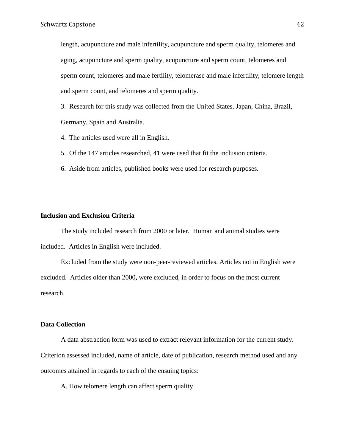length, acupuncture and male infertility, acupuncture and sperm quality, telomeres and aging, acupuncture and sperm quality, acupuncture and sperm count, telomeres and sperm count, telomeres and male fertility, telomerase and male infertility, telomere length and sperm count, and telomeres and sperm quality.

3. Research for this study was collected from the United States, Japan, China, Brazil, Germany, Spain and Australia.

- 4. The articles used were all in English.
- 5. Of the 147 articles researched, 41 were used that fit the inclusion criteria.
- 6. Aside from articles, published books were used for research purposes.

#### **Inclusion and Exclusion Criteria**

The study included research from 2000 or later. Human and animal studies were included. Articles in English were included.

Excluded from the study were non-peer-reviewed articles. Articles not in English were excluded. Articles older than 2000**,** were excluded, in order to focus on the most current research.

# **Data Collection**

A data abstraction form was used to extract relevant information for the current study. Criterion assessed included, name of article, date of publication, research method used and any outcomes attained in regards to each of the ensuing topics:

A. How telomere length can affect sperm quality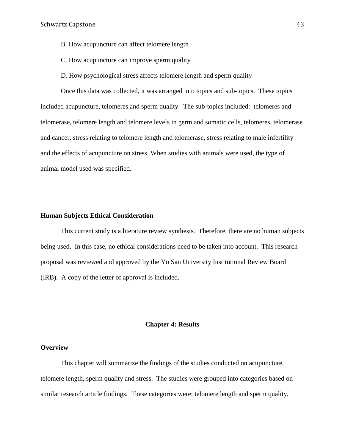- B. How acupuncture can affect telomere length
- C. How acupuncture can improve sperm quality

D. How psychological stress affects telomere length and sperm quality

Once this data was collected, it was arranged into topics and sub-topics. These topics included acupuncture, telomeres and sperm quality. The sub-topics included: telomeres and telomerase, telomere length and telomere levels in germ and somatic cells, telomeres, telomerase and cancer, stress relating to telomere length and telomerase, stress relating to male infertility and the effects of acupuncture on stress. When studies with animals were used, the type of animal model used was specified.

#### **Human Subjects Ethical Consideration**

This current study is a literature review synthesis. Therefore, there are no human subjects being used. In this case, no ethical considerations need to be taken into account. This research proposal was reviewed and approved by the Yo San University Institutional Review Board (IRB). A copy of the letter of approval is included.

# **Chapter 4: Results**

# **Overview**

This chapter will summarize the findings of the studies conducted on acupuncture, telomere length, sperm quality and stress. The studies were grouped into categories based on similar research article findings. These categories were: telomere length and sperm quality,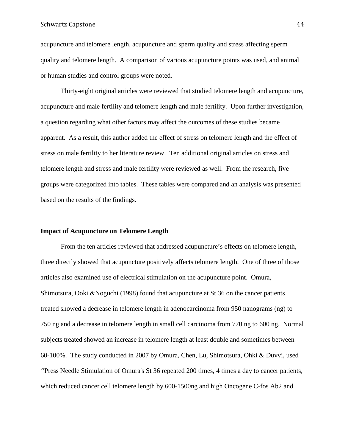#### Schwartz Capstone 44

acupuncture and telomere length, acupuncture and sperm quality and stress affecting sperm quality and telomere length. A comparison of various acupuncture points was used, and animal or human studies and control groups were noted.

Thirty-eight original articles were reviewed that studied telomere length and acupuncture, acupuncture and male fertility and telomere length and male fertility. Upon further investigation, a question regarding what other factors may affect the outcomes of these studies became apparent. As a result, this author added the effect of stress on telomere length and the effect of stress on male fertility to her literature review. Ten additional original articles on stress and telomere length and stress and male fertility were reviewed as well. From the research, five groups were categorized into tables. These tables were compared and an analysis was presented based on the results of the findings.

# **Impact of Acupuncture on Telomere Length**

From the ten articles reviewed that addressed acupuncture's effects on telomere length, three directly showed that acupuncture positively affects telomere length. One of three of those articles also examined use of electrical stimulation on the acupuncture point. Omura, Shimotsura, Ooki &Noguchi (1998) found that acupuncture at St 36 on the cancer patients treated showed a decrease in telomere length in adenocarcinoma from 950 nanograms (ng) to 750 ng and a decrease in telomere length in small cell carcinoma from 770 ng to 600 ng. Normal subjects treated showed an increase in telomere length at least double and sometimes between 60-100%. The study conducted in 2007 by Omura, Chen, Lu, Shimotsura, Ohki & Duvvi, used *"*Press Needle Stimulation of Omura's St 36 repeated 200 times, 4 times a day to cancer patients, which reduced cancer cell telomere length by 600-1500ng and high Oncogene C-fos Ab2 and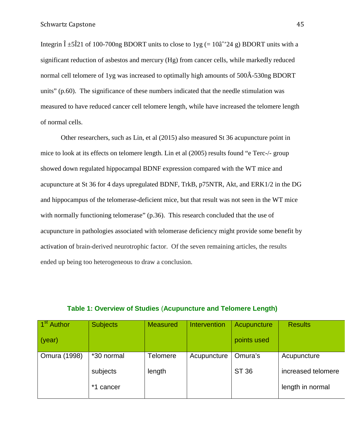Integrin  $\hat{I}$  ±5 $\hat{I}$ 21 of 100-700ng BDORT units to close to 1yg (= 10 $\hat{a}$ <sup>2</sup>/24 g) BDORT units with a significant reduction of asbestos and mercury (Hg) from cancer cells, while markedly reduced normal cell telomere of 1yg was increased to optimally high amounts of 500Â-530ng BDORT units" (p.60). The significance of these numbers indicated that the needle stimulation was measured to have reduced cancer cell telomere length, while have increased the telomere length of normal cells.

Other researchers, such as Lin, et al (2015) also measured St 36 acupuncture point in mice to look at its effects on telomere length. Lin et al (2005) results found "e Terc-/- group showed down regulated hippocampal BDNF expression compared with the WT mice and acupuncture at St 36 for 4 days upregulated BDNF, TrkB, p75NTR, Akt, and ERK1/2 in the DG and hippocampus of the telomerase-deficient mice, but that result was not seen in the WT mice with normally functioning telomerase" (p.36). This research concluded that the use of acupuncture in pathologies associated with telomerase deficiency might provide some benefit by activation of brain-derived neurotrophic factor. Of the seven remaining articles, the results ended up being too heterogeneous to draw a conclusion.

| 1 <sup>st</sup> Author | <b>Subjects</b> | <b>Measured</b> | Intervention | Acupuncture  | <b>Results</b>     |
|------------------------|-----------------|-----------------|--------------|--------------|--------------------|
| (year)                 |                 |                 |              | points used  |                    |
| Omura (1998)           | *30 normal      | <b>Telomere</b> | Acupuncture  | Omura's      | Acupuncture        |
|                        | subjects        | length          |              | <b>ST 36</b> | increased telomere |
|                        | *1 cancer       |                 |              |              | length in normal   |
|                        |                 |                 |              |              |                    |

# **Table 1: Overview of Studies** (**Acupuncture and Telomere Length)**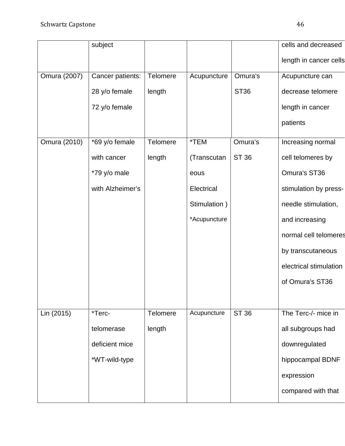|              |                  |                 |              |              | cells and decreased    |
|--------------|------------------|-----------------|--------------|--------------|------------------------|
|              | subject          |                 |              |              |                        |
|              |                  |                 |              |              | length in cancer cells |
| Omura (2007) | Cancer patients: | Telomere        | Acupuncture  | Omura's      | Acupuncture can        |
|              | 28 y/o female    | length          |              | <b>ST36</b>  | decrease telomere      |
|              | 72 y/o female    |                 |              |              | length in cancer       |
|              |                  |                 |              |              | patients               |
| Omura (2010) | *69 y/o female   | <b>Telomere</b> | *TEM         | Omura's      | Increasing normal      |
|              | with cancer      | length          | (Transcutan  | <b>ST 36</b> | cell telomeres by      |
|              | *79 y/o male     |                 | eous         |              | Omura's ST36           |
|              | with Alzheimer's |                 | Electrical   |              | stimulation by press-  |
|              |                  |                 | Stimulation) |              | needle stimulation,    |
|              |                  |                 | *Acupuncture |              | and increasing         |
|              |                  |                 |              |              | normal cell telomeres  |
|              |                  |                 |              |              | by transcutaneous      |
|              |                  |                 |              |              | electrical stimulation |
|              |                  |                 |              |              | of Omura's ST36        |
|              |                  |                 |              |              |                        |
| Lin (2015)   | *Terc-           | Telomere        | Acupuncture  | <b>ST 36</b> | The Terc-/- mice in    |
|              | telomerase       | length          |              |              | all subgroups had      |
|              | deficient mice   |                 |              |              | downregulated          |
|              | *WT-wild-type    |                 |              |              | hippocampal BDNF       |
|              |                  |                 |              |              | expression             |
|              |                  |                 |              |              | compared with that     |
|              |                  |                 |              |              |                        |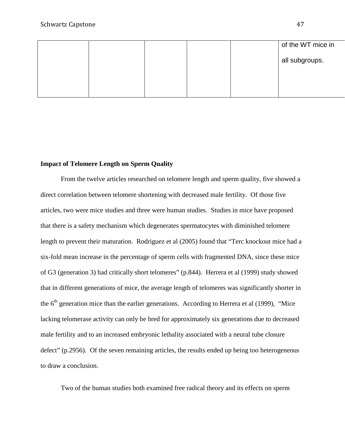|  |  | of the WT mice in |
|--|--|-------------------|
|  |  | all subgroups.    |
|  |  |                   |
|  |  |                   |

# **Impact of Telomere Length on Sperm Quality**

From the twelve articles researched on telomere length and sperm quality, five showed a direct correlation between telomere shortening with decreased male fertility. Of those five articles, two were mice studies and three were human studies. Studies in mice have proposed that there is a safety mechanism which degenerates spermatocytes with diminished telomere length to prevent their maturation. Rodriguez et al (2005) found that "Terc knockout mice had a six-fold mean increase in the percentage of sperm cells with fragmented DNA, since these mice of G3 (generation 3) had critically short telomeres" (p.844). Herrera et al (1999) study showed that in different generations of mice, the average length of telomeres was significantly shorter in the  $6<sup>th</sup>$  generation mice than the earlier generations. According to Herrera et al (1999), "Mice lacking telomerase activity can only be bred for approximately six generations due to decreased male fertility and to an increased embryonic lethality associated with a neural tube closure defect" (p.2956). Of the seven remaining articles, the results ended up being too heterogeneous to draw a conclusion.

Two of the human studies both examined free radical theory and its effects on sperm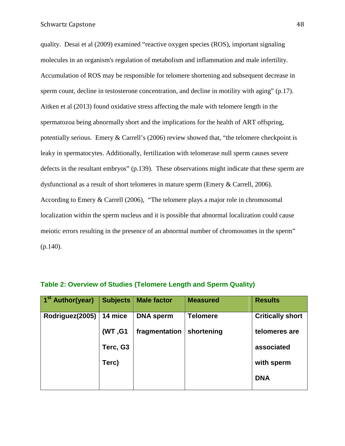quality. Desai et al (2009) examined "reactive oxygen species (ROS), important signaling molecules in an organism's regulation of metabolism and inflammation and male infertility. Accumulation of ROS may be responsible for telomere shortening and subsequent decrease in sperm count, decline in testosterone concentration, and decline in motility with aging" (p.17). Aitken et al (2013) found oxidative stress affecting the male with telomere length in the spermatozoa being abnormally short and the implications for the health of ART offspring, potentially serious. Emery & Carrell's (2006) review showed that, "the telomere checkpoint is leaky in spermatocytes. Additionally, fertilization with telomerase null sperm causes severe defects in the resultant embryos" (p.139). These observations might indicate that these sperm are dysfunctional as a result of short telomeres in mature sperm (Emery & Carrell, 2006). According to Emery & Carrell (2006), "The telomere plays a major role in chromosomal localization within the sperm nucleus and it is possible that abnormal localization could cause meiotic errors resulting in the presence of an abnormal number of chromosomes in the sperm"  $(p.140)$ .

| 1 <sup>st</sup> Author(year) | <b>Subjects</b> | <b>Male factor</b> | <b>Measured</b> | <b>Results</b>          |
|------------------------------|-----------------|--------------------|-----------------|-------------------------|
| Rodriguez(2005)              | 14 mice         | <b>DNA</b> sperm   | <b>Telomere</b> | <b>Critically short</b> |
|                              | (WT, G1         | fragmentation      | shortening      | telomeres are           |
|                              | Terc, G3        |                    |                 | associated              |
|                              | Terc)           |                    |                 | with sperm              |
|                              |                 |                    |                 | <b>DNA</b>              |

# **Table 2: Overview of Studies (Telomere Length and Sperm Quality)**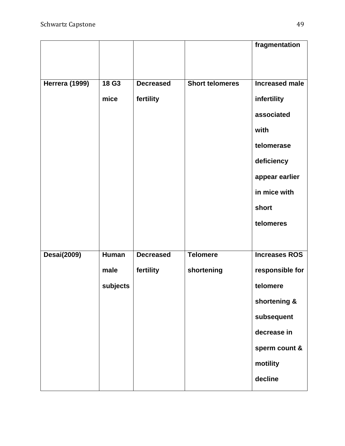|                       |              |                  |                        | fragmentation         |
|-----------------------|--------------|------------------|------------------------|-----------------------|
|                       |              |                  |                        |                       |
|                       |              |                  |                        |                       |
| <b>Herrera (1999)</b> | 18 G3        | <b>Decreased</b> | <b>Short telomeres</b> | <b>Increased male</b> |
|                       | mice         | fertility        |                        | infertility           |
|                       |              |                  |                        | associated            |
|                       |              |                  |                        | with                  |
|                       |              |                  |                        | telomerase            |
|                       |              |                  |                        | deficiency            |
|                       |              |                  |                        | appear earlier        |
|                       |              |                  |                        | in mice with          |
|                       |              |                  |                        | short                 |
|                       |              |                  |                        | telomeres             |
|                       |              |                  |                        |                       |
| <b>Desai(2009)</b>    | <b>Human</b> | <b>Decreased</b> | <b>Telomere</b>        | <b>Increases ROS</b>  |
|                       | male         | fertility        | shortening             | responsible for       |
|                       | subjects     |                  |                        | telomere              |
|                       |              |                  |                        | shortening &          |
|                       |              |                  |                        | subsequent            |
|                       |              |                  |                        | decrease in           |
|                       |              |                  |                        | sperm count &         |
|                       |              |                  |                        | motility              |
|                       |              |                  |                        | decline               |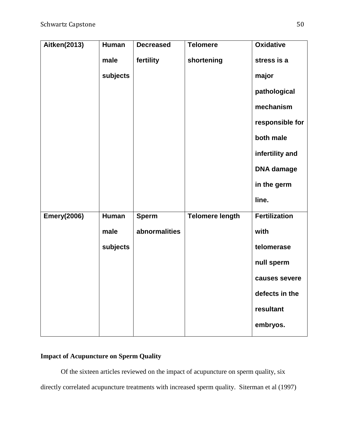| Aitken(2013)       | Human    | <b>Decreased</b> | <b>Telomere</b>        | <b>Oxidative</b>     |
|--------------------|----------|------------------|------------------------|----------------------|
|                    | male     | fertility        | shortening             | stress is a          |
|                    | subjects |                  |                        | major                |
|                    |          |                  |                        | pathological         |
|                    |          |                  |                        | mechanism            |
|                    |          |                  |                        | responsible for      |
|                    |          |                  |                        | both male            |
|                    |          |                  |                        | infertility and      |
|                    |          |                  |                        | <b>DNA</b> damage    |
|                    |          |                  |                        | in the germ          |
|                    |          |                  |                        | line.                |
| <b>Emery(2006)</b> | Human    | <b>Sperm</b>     | <b>Telomere length</b> | <b>Fertilization</b> |
|                    | male     | abnormalities    |                        | with                 |
|                    | subjects |                  |                        | telomerase           |
|                    |          |                  |                        | null sperm           |
|                    |          |                  |                        | causes severe        |
|                    |          |                  |                        | defects in the       |
|                    |          |                  |                        | resultant            |
|                    |          |                  |                        | embryos.             |

# **Impact of Acupuncture on Sperm Quality**

Of the sixteen articles reviewed on the impact of acupuncture on sperm quality, six directly correlated acupuncture treatments with increased sperm quality. Siterman et al (1997)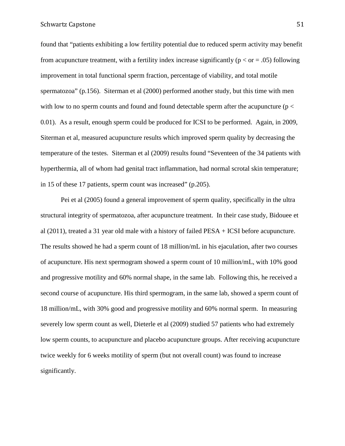found that "patients exhibiting a low fertility potential due to reduced sperm activity may benefit from acupuncture treatment, with a fertility index increase significantly ( $p < or = .05$ ) following improvement in total functional sperm fraction, percentage of viability, and total motile spermatozoa" (p.156). Siterman et al (2000) performed another study, but this time with men with low to no sperm counts and found and found detectable sperm after the acupuncture ( $p <$ 0.01). As a result, enough sperm could be produced for ICSI to be performed. Again, in 2009, Siterman et al, measured acupuncture results which improved sperm quality by decreasing the temperature of the testes. Siterman et al (2009) results found "Seventeen of the 34 patients with hyperthermia, all of whom had genital tract inflammation, had normal scrotal skin temperature; in 15 of these 17 patients, sperm count was increased" (p.205).

Pei et al (2005) found a general improvement of sperm quality, specifically in the ultra structural integrity of spermatozoa, after acupuncture treatment. In their case study, Bidouee et al (2011), treated a 31 year old male with a history of failed PESA + ICSI before acupuncture. The results showed he had a sperm count of 18 million/mL in his ejaculation, after two courses of acupuncture. His next spermogram showed a sperm count of 10 million/mL, with 10% good and progressive motility and 60% normal shape, in the same lab. Following this, he received a second course of acupuncture. His third spermogram, in the same lab, showed a sperm count of 18 million/mL, with 30% good and progressive motility and 60% normal sperm. In measuring severely low sperm count as well, Dieterle et al (2009) studied 57 patients who had extremely low sperm counts, to acupuncture and placebo acupuncture groups. After receiving acupuncture twice weekly for 6 weeks motility of sperm (but not overall count) was found to increase significantly.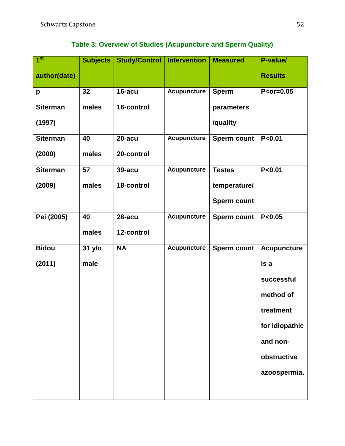| 1 <sup>st</sup> | Subjects | Study/Control   Intervention |                    | <b>Measured</b>    | P-value/           |
|-----------------|----------|------------------------------|--------------------|--------------------|--------------------|
| author(date)    |          |                              |                    |                    | <b>Results</b>     |
| p               | 32       | 16-acu                       | <b>Acupuncture</b> | <b>Sperm</b>       | $P<$ or=0.05       |
| <b>Siterman</b> | males    | 16-control                   |                    | parameters         |                    |
| (1997)          |          |                              |                    | /quality           |                    |
| <b>Siterman</b> | 40       | 20-acu                       | <b>Acupuncture</b> | <b>Sperm count</b> | P < 0.01           |
| (2000)          | males    | 20-control                   |                    |                    |                    |
| <b>Siterman</b> | 57       | <b>39-acu</b>                | <b>Acupuncture</b> | <b>Testes</b>      | P < 0.01           |
| (2009)          | males    | 18-control                   |                    | temperature/       |                    |
|                 |          |                              |                    | <b>Sperm count</b> |                    |
| Pei (2005)      | 40       | 28-acu                       | <b>Acupuncture</b> | <b>Sperm count</b> | P<0.05             |
|                 | males    | 12-control                   |                    |                    |                    |
| <b>Bidou</b>    | 31 y/o   | <b>NA</b>                    | <b>Acupuncture</b> | <b>Sperm count</b> | <b>Acupuncture</b> |
| (2011)          | male     |                              |                    |                    | is a               |
|                 |          |                              |                    |                    | successful         |
|                 |          |                              |                    |                    | method of          |
|                 |          |                              |                    |                    | treatment          |
|                 |          |                              |                    |                    | for idiopathic     |
|                 |          |                              |                    |                    | and non-           |
|                 |          |                              |                    |                    | obstructive        |
|                 |          |                              |                    |                    | azoospermia.       |
|                 |          |                              |                    |                    |                    |

# **Table 3: Overview of Studies (Acupuncture and Sperm Quality)**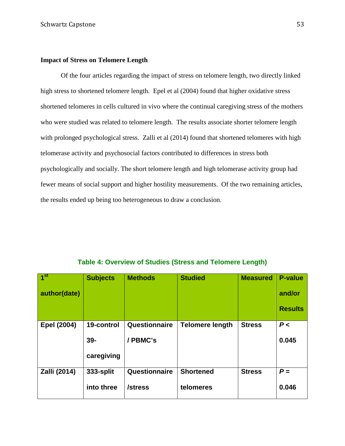# **Impact of Stress on Telomere Length**

Of the four articles regarding the impact of stress on telomere length, two directly linked high stress to shortened telomere length. Epel et al (2004) found that higher oxidative stress shortened telomeres in cells cultured in vivo where the continual caregiving stress of the mothers who were studied was related to telomere length. The results associate shorter telomere length with prolonged psychological stress. Zalli et al (2014) found that shortened telomeres with high telomerase activity and psychosocial factors contributed to differences in stress both psychologically and socially. The short telomere length and high telomerase activity group had fewer means of social support and higher hostility measurements. Of the two remaining articles, the results ended up being too heterogeneous to draw a conclusion.

| 1 <sup>st</sup> | <b>Subjects</b> | <b>Methods</b> | <b>Studied</b>         | <b>Measured</b> | <b>P-value</b> |
|-----------------|-----------------|----------------|------------------------|-----------------|----------------|
| author(date)    |                 |                |                        |                 | and/or         |
|                 |                 |                |                        |                 | <b>Results</b> |
| Epel (2004)     | 19-control      | Questionnaire  | <b>Telomere length</b> | <b>Stress</b>   | P<             |
|                 | $39-$           | / PBMC's       |                        |                 | 0.045          |
|                 | caregiving      |                |                        |                 |                |
| Zalli (2014)    | 333-split       | Questionnaire  | <b>Shortened</b>       | <b>Stress</b>   | $P =$          |
|                 | into three      | /stress        | telomeres              |                 | 0.046          |

**Table 4: Overview of Studies (Stress and Telomere Length)**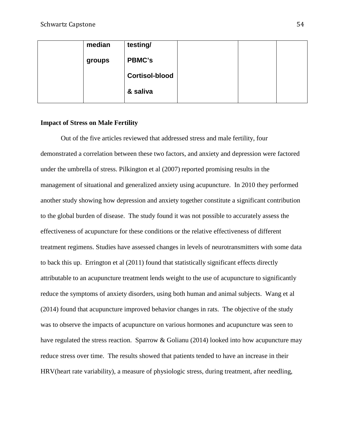| median | testing/              |  |  |
|--------|-----------------------|--|--|
| groups | <b>PBMC's</b>         |  |  |
|        | <b>Cortisol-blood</b> |  |  |
|        | & saliva              |  |  |
|        |                       |  |  |

# **Impact of Stress on Male Fertility**

Out of the five articles reviewed that addressed stress and male fertility, four demonstrated a correlation between these two factors, and anxiety and depression were factored under the umbrella of stress. Pilkington et al (2007) reported promising results in the management of situational and generalized anxiety using acupuncture. In 2010 they performed another study showing how depression and anxiety together constitute a significant contribution to the global burden of disease. The study found it was not possible to accurately assess the effectiveness of acupuncture for these conditions or the relative effectiveness of different treatment regimens. Studies have assessed changes in levels of neurotransmitters with some data to back this up. Errington et al (2011) found that statistically significant effects directly attributable to an acupuncture treatment lends weight to the use of acupuncture to significantly reduce the symptoms of anxiety disorders, using both human and animal subjects. Wang et al (2014) found that acupuncture improved behavior changes in rats. The objective of the study was to observe the impacts of acupuncture on various hormones and acupuncture was seen to have regulated the stress reaction. Sparrow & Golianu (2014) looked into how acupuncture may reduce stress over time. The results showed that patients tended to have an increase in their HRV(heart rate variability), a measure of physiologic stress, during treatment, after needling,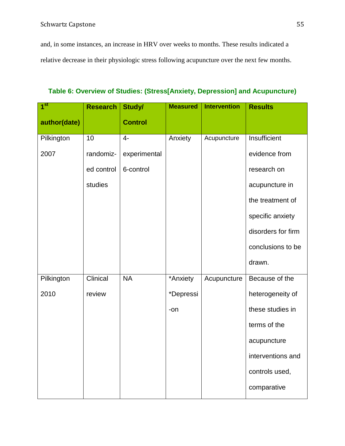and, in some instances, an increase in HRV over weeks to months. These results indicated a relative decrease in their physiologic stress following acupuncture over the next few months.

**Table 6: Overview of Studies: (Stress[Anxiety, Depression] and Acupuncture)**

| 1 <sup>st</sup> | <b>Research</b> | Study/         | <b>Measured</b> | <b>Intervention</b> | <b>Results</b>     |
|-----------------|-----------------|----------------|-----------------|---------------------|--------------------|
| author(date)    |                 | <b>Control</b> |                 |                     |                    |
| Pilkington      | 10              | $4-$           | Anxiety         | Acupuncture         | Insufficient       |
| 2007            | randomiz-       | experimental   |                 |                     | evidence from      |
|                 | ed control      | 6-control      |                 |                     | research on        |
|                 | studies         |                |                 |                     | acupuncture in     |
|                 |                 |                |                 |                     | the treatment of   |
|                 |                 |                |                 |                     | specific anxiety   |
|                 |                 |                |                 |                     | disorders for firm |
|                 |                 |                |                 |                     | conclusions to be  |
|                 |                 |                |                 |                     | drawn.             |
| Pilkington      | Clinical        | <b>NA</b>      | *Anxiety        | Acupuncture         | Because of the     |
| 2010            | review          |                | *Depressi       |                     | heterogeneity of   |
|                 |                 |                | -on             |                     | these studies in   |
|                 |                 |                |                 |                     | terms of the       |
|                 |                 |                |                 |                     | acupuncture        |
|                 |                 |                |                 |                     | interventions and  |
|                 |                 |                |                 |                     | controls used,     |
|                 |                 |                |                 |                     | comparative        |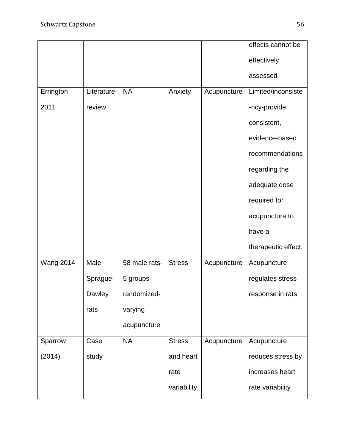|                  |            |               |               |             | effects cannot be   |
|------------------|------------|---------------|---------------|-------------|---------------------|
|                  |            |               |               |             | effectively         |
|                  |            |               |               |             | assessed            |
| Errington        | Literature | <b>NA</b>     | Anxiety       | Acupuncture | Limited/inconsiste  |
| 2011             | review     |               |               |             | -ncy-provide        |
|                  |            |               |               |             | consistent,         |
|                  |            |               |               |             | evidence-based      |
|                  |            |               |               |             | recommendations     |
|                  |            |               |               |             | regarding the       |
|                  |            |               |               |             | adequate dose       |
|                  |            |               |               |             | required for        |
|                  |            |               |               |             | acupuncture to      |
|                  |            |               |               |             | have a              |
|                  |            |               |               |             | therapeutic effect. |
| <b>Wang 2014</b> | Male       | 58 male rats- | <b>Stress</b> | Acupuncture | Acupuncture         |
|                  | Sprague-   | 5 groups      |               |             | regulates stress    |
|                  | Dawley     | randomized-   |               |             | response in rats    |
|                  | rats       | varying       |               |             |                     |
|                  |            | acupuncture   |               |             |                     |
| Sparrow          | Case       | <b>NA</b>     | <b>Stress</b> | Acupuncture | Acupuncture         |
| (2014)           | study      |               | and heart     |             | reduces stress by   |
|                  |            |               | rate          |             | increases heart     |
|                  |            |               | variability   |             | rate variability    |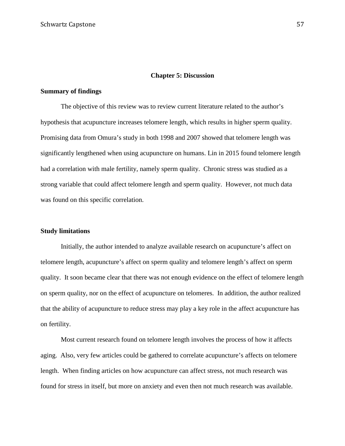# **Chapter 5: Discussion**

#### **Summary of findings**

The objective of this review was to review current literature related to the author's hypothesis that acupuncture increases telomere length, which results in higher sperm quality. Promising data from Omura's study in both 1998 and 2007 showed that telomere length was significantly lengthened when using acupuncture on humans. Lin in 2015 found telomere length had a correlation with male fertility, namely sperm quality. Chronic stress was studied as a strong variable that could affect telomere length and sperm quality. However, not much data was found on this specific correlation.

# **Study limitations**

Initially, the author intended to analyze available research on acupuncture's affect on telomere length, acupuncture's affect on sperm quality and telomere length's affect on sperm quality. It soon became clear that there was not enough evidence on the effect of telomere length on sperm quality, nor on the effect of acupuncture on telomeres. In addition, the author realized that the ability of acupuncture to reduce stress may play a key role in the affect acupuncture has on fertility.

Most current research found on telomere length involves the process of how it affects aging. Also, very few articles could be gathered to correlate acupuncture's affects on telomere length. When finding articles on how acupuncture can affect stress, not much research was found for stress in itself, but more on anxiety and even then not much research was available.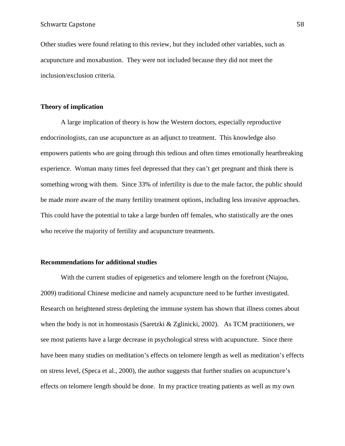Other studies were found relating to this review, but they included other variables, such as acupuncture and moxabustion. They were not included because they did not meet the inclusion/exclusion criteria.

# **Theory of implication**

A large implication of theory is how the Western doctors, especially reproductive endocrinologists, can use acupuncture as an adjunct to treatment. This knowledge also empowers patients who are going through this tedious and often times emotionally heartbreaking experience. Woman many times feel depressed that they can't get pregnant and think there is something wrong with them. Since 33% of infertility is due to the male factor, the public should be made more aware of the many fertility treatment options, including less invasive approaches. This could have the potential to take a large burden off females, who statistically are the ones who receive the majority of fertility and acupuncture treatments.

# **Recommendations for additional studies**

With the current studies of epigenetics and telomere length on the forefront (Niajou, 2009) traditional Chinese medicine and namely acupuncture need to be further investigated. Research on heightened stress depleting the immune system has shown that illness comes about when the body is not in homeostasis (Saretzki & Zglinicki, 2002). As TCM practitioners, we see most patients have a large decrease in psychological stress with acupuncture. Since there have been many studies on meditation's effects on telomere length as well as meditation's effects on stress level, (Speca et al., 2000), the author suggests that further studies on acupuncture's effects on telomere length should be done. In my practice treating patients as well as my own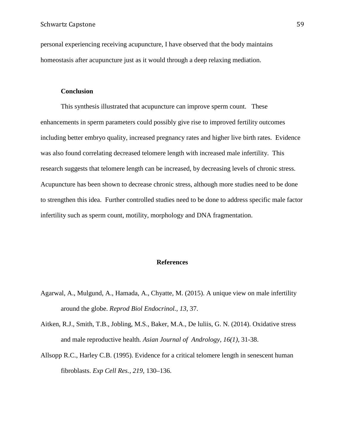personal experiencing receiving acupuncture, I have observed that the body maintains homeostasis after acupuncture just as it would through a deep relaxing mediation.

# **Conclusion**

This synthesis illustrated that acupuncture can improve sperm count. These enhancements in sperm parameters could possibly give rise to improved fertility outcomes including better embryo quality, increased pregnancy rates and higher live birth rates. Evidence was also found correlating decreased telomere length with increased male infertility. This research suggests that telomere length can be increased, by decreasing levels of chronic stress. Acupuncture has been shown to decrease chronic stress, although more studies need to be done to strengthen this idea. Further controlled studies need to be done to address specific male factor infertility such as sperm count, motility, morphology and DNA fragmentation.

# **References**

- Agarwal, A., Mulgund, A., Hamada, A., Chyatte, M. (2015). A unique view on male infertility around the globe. *Reprod Biol Endocrinol., 13*, 37.
- Aitken, R.J., Smith, T.B., Jobling, M.S., Baker, M.A., De luliis, G. N. (2014). Oxidative stress and male reproductive health*. Asian Journal of Andrology, 16(1)*, 31-38.
- Allsopp R.C., Harley C.B. (1995). Evidence for a critical telomere length in senescent human fibroblasts. *Exp Cell Res., 219,* 130–136.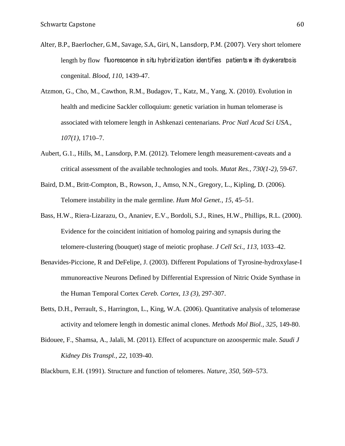- Alter, B.P., Baerlocher, G.M., Savage, S.A., Giri, N., Lansdorp, P.M. (2007). Very short telomere length by flow fluorescence in situ hybridization identifies patients w ith dyskeratosis congenital. *Blood, 110,* 1439-47.
- Atzmon, G., Cho, M., Cawthon, R.M., Budagov, T., Katz, M., Yang, X. (2010). Evolution in health and medicine Sackler colloquium: genetic variation in human telomerase is associated with telomere length in Ashkenazi centenarians. *Proc Natl Acad Sci USA., 107(1),* 1710–7.
- Aubert, G.1., Hills, M., Lansdorp, P.M. (2012). Telomere length measurement-caveats and a critical assessment of the available technologies and tools. *Mutat Res., 730(1-2),* 59-67.
- Baird, D.M., Britt-Compton, B., Rowson, J., Amso, N.N., Gregory, L., Kipling, D. (2006). Telomere instability in the male germline. *Hum Mol Genet., 15,* 45–51.
- Bass, H.W., Riera-Lizarazu, O., Ananiev, E.V., Bordoli, S.J., Rines, H.W., Phillips, R.L. (2000). Evidence for the coincident initiation of homolog pairing and synapsis during the telomere-clustering (bouquet) stage of meiotic prophase. *J Cell Sci., 113,* 1033–42.
- Benavides-Piccione, R and DeFelipe, J. (2003). Different Populations of Tyrosine-hydroxylase-I mmunoreactive Neurons Defined by Differential Expression of Nitric Oxide Synthase in the Human Temporal Cortex *Cereb. Cortex, 13 (3),* 297-307.
- Betts, D.H., Perrault, S., Harrington, L., King, W.A. (2006). Quantitative analysis of telomerase activity and telomere length in domestic animal clones. *Methods Mol Biol., 325,* 149-80.
- Bidouee, F., Shamsa, A., Jalali, M. (2011). Effect of acupuncture on azoospermic male. *Saudi J Kidney Dis Transpl., 22,* 1039-40.

Blackburn, E.H. (1991). Structure and function of telomeres. *Nature, 350*, 569–573.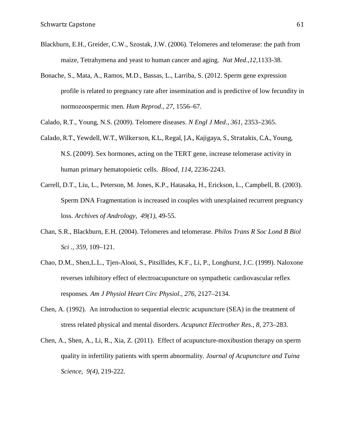- Blackburn, E.H., Greider, C.W., Szostak, J.W. (2006). Telomeres and telomerase: the path from maize, Tetrahymena and yeast to human cancer and aging. *Nat Med.*,*12,*1133-38.
- Bonache, S., Mata, A., Ramos, M.D., Bassas, L., Larriba, S. (2012. Sperm gene expression profile is related to pregnancy rate after insemination and is predictive of low fecundity in normozoospermic men. *Hum Reprod., 27,* 1556–67.

Calado, R.T., Young, N.S. (2009). Telomere diseases. *N Engl J Med., 361*, 2353–2365.

- Calado, R.T., Yewdell, W.T., Wilkerson, K.L., Regal, J.A., Kajigaya, S., Stratakis, C.A., Young, N.S. (2009). Sex hormones, acting on the TERT gene, increase telomerase activity in human primary hematopoietic cells. *Blood, 114*, 2236-2243.
- Carrell, D.T., Liu, L., Peterson, M. Jones, K.P., Hatasaka, H., Erickson, L., Campbell, B. (2003). Sperm DNA Fragmentation is increased in couples with unexplained recurrent pregnancy loss. *Archives of Andrology, 49(1),* 49-55.
- Chan, S.R., Blackburn, E.H. (2004). Telomeres and telomerase. *Philos Trans R Soc Lond B Biol Sci ., 359,* 109–121.
- Chao, D.M., Shen,L.L., Tjen-Alooi, S., Pitsillides, K.F., Li, P., Longhurst, J.C. (1999). Naloxone reverses inhibitory effect of electroacupuncture on sympathetic cardiovascular reflex responses*. Am J Physiol Heart Circ Physiol., 276*, 2127–2134.
- Chen, A. (1992). An introduction to sequential electric acupuncture (SEA) in the treatment of stress related physical and mental disorders. *Acupunct Electrother Res., 8,* 273–283.
- Chen, A., Shen, A., Li, R., Xia, Z. (2011). Effect of acupuncture-moxibustion therapy on sperm quality in infertility patients with sperm abnormality*. Journal of Acupuncture and Tuina Science, 9(4),* 219-222.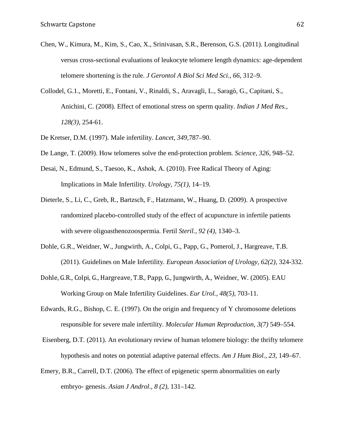- Chen, W., Kimura, M., Kim, S., Cao, X., Srinivasan, S.R., Berenson, G.S. (2011). Longitudinal versus cross-sectional evaluations of leukocyte telomere length dynamics: age-dependent telomere shortening is the rule. *J Gerontol A Biol Sci Med Sci., 66,* 312–9.
- Collodel, G.1., Moretti, E., Fontani, V., Rinaldi, S., Aravagli, L., Saragò, G., Capitani, S., Anichini, C. (2008). Effect of emotional stress on sperm quality. *Indian J Med Res., 128(3),* 254-61.
- De Kretser, D.M. (1997). Male infertility. *Lancet, 349*,787–90.
- De Lange, T. (2009). How telomeres solve the end-protection problem*. Science, 326*, 948–52.
- Desai, N., Edmund, S., Taesoo, K., Ashok, A. (2010). Free Radical Theory of Aging: Implications in Male Infertility*. Urology, 75(1),* 14–19.
- Dieterle, S., Li, C., Greb, R., Bartzsch, F., Hatzmann, W., Huang, D. (2009). A prospective randomized placebo-controlled study of the effect of acupuncture in infertile patients with severe oligoasthenozoospermia. Fertil *Steril., 92 (4),* 1340–3.
- Dohle, G.R., Weidner, W., Jungwirth, A., Colpi, G., Papp, G., Pomerol, J., Hargreave, T.B. (2011). Guidelines on Male Infertility*. European Association of Urology*, *62(2),* 324-332.
- Dohle, G.R., Colpi, G., Hargreave, T.B., Papp, G., Jungwirth, A., Weidner, W. (2005). EAU Working Group on Male Infertility Guidelines. *Eur Urol., 48(5),* 703-11.
- Edwards, R.G., Bishop, C. E. (1997). On the origin and frequency of Y chromosome deletions responsible for severe male infertility. *Molecular Human Reproduction, 3(7)* 549–554.
- Eisenberg, D.T. (2011). An evolutionary review of human telomere biology: the thrifty telomere hypothesis and notes on potential adaptive paternal effects. *Am J Hum Biol., 23,* 149–67.
- Emery, B.R., Carrell, D.T. (2006). The effect of epigenetic sperm abnormalities on early embryo- genesis. *Asian J Androl., 8 (2),* 131–142.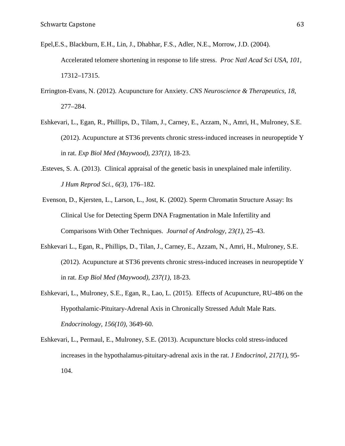- Epel,E.S., Blackburn, E.H., Lin, J., Dhabhar, F.S., Adler, N.E., Morrow, J.D. (2004). Accelerated telomere shortening in response to life stress. *Proc Natl Acad Sci USA, 101*, 17312–17315.
- Errington-Evans, N. (2012). Acupuncture for Anxiety. *CNS Neuroscience & Therapeutics, 18,* 277–284.
- Eshkevari, L., Egan, R., Phillips, D., Tilam, J., Carney, E., Azzam, N., Amri, H., Mulroney, S.E. (2012). Acupuncture at ST36 prevents chronic stress-induced increases in neuropeptide Y in rat. *Exp Biol Med (Maywood), 237(1),* 18-23.
- .Esteves, S. A. (2013). Clinical appraisal of the genetic basis in unexplained male infertility. *J Hum Reprod Sci., 6(3),* 176–182.
- Evenson, D., Kjersten, L., Larson, L., Jost, K. (2002). Sperm Chromatin Structure Assay: Its Clinical Use for Detecting Sperm DNA Fragmentation in Male Infertility and Comparisons With Other Techniques. *Journal of Andrology, 23(1),* 25–43.
- Eshkevari L., Egan, R., Phillips, D., Tilan, J., Carney, E., Azzam, N., Amri, H., Mulroney, S.E. (2012). Acupuncture at ST36 prevents chronic stress-induced increases in neuropeptide Y in rat. *Exp Biol Med (Maywood), 237(1),* 18-23.
- Eshkevari, L., Mulroney, S.E., Egan, R., Lao, L. (2015). Effects of Acupuncture, RU-486 on the Hypothalamic-Pituitary-Adrenal Axis in Chronically Stressed Adult Male Rats. *Endocrinology, 156(10),* 3649-60.
- Eshkevari, L., Permaul, E., Mulroney, S.E. (2013). Acupuncture blocks cold stress-induced increases in the hypothalamus-pituitary-adrenal axis in the rat. J *Endocrinol, 217(1)*, 95- 104.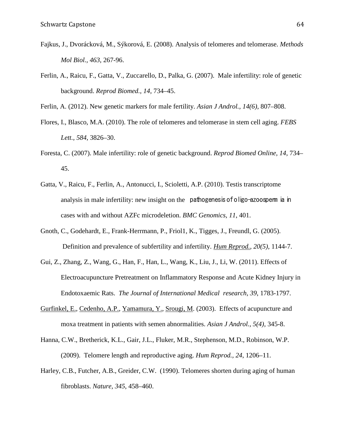- Fajkus, J., Dvorácková, M., Sýkorová, E. (2008). Analysis of telomeres and telomerase. *Methods Mol Biol., 463*, 267-96.
- Ferlin, A., Raicu, F., Gatta, V., Zuccarello, D., Palka, G. (2007). Male infertility: role of genetic background. *Reprod Biomed., 14,* 734–45.

Ferlin, A. (2012). New genetic markers for male fertility. *Asian J Androl., 14(6),* 807–808.

- Flores, I., Blasco, M.A. (2010). The role of telomeres and telomerase in stem cell aging. *FEBS Lett., 584*, 3826–30.
- Foresta, C. (2007). Male infertility: role of genetic background. *Reprod Biomed Online, 14,* 734– 45.
- Gatta, V., Raicu, F., Ferlin, A., Antonucci, I., Scioletti, A.P. (2010). Testis transcriptome analysis in male infertility: new insight on the pathogenesis of oligo-azoosperm ia in cases with and without AZFc microdeletion. *BMC Genomics, 11*, 401.
- Gnoth, C., Godehardt, E., Frank-Herrmann, P., Friol1, K., Tigges, J., Freundl, G. (2005). Definition and prevalence of subfertility and infertility. *[Hum Reprod.,](http://www.ncbi.nlm.nih.gov/pubmed/15802321) 20(5),* 1144-7.
- Gui, Z., Zhang, Z., Wang, G., Han, F., Han, L., Wang, K., Liu, J., Li, W. (2011). Effects of Electroacupuncture Pretreatment on Inflammatory Response and Acute Kidney Injury in Endotoxaemic Rats. *The Journal of International Medical research, 39*, 1783-1797.
- [Gurfinkel, E.](http://www.ncbi.nlm.nih.gov/pubmed/?term=Gurfinkel%20E%5BAuthor%5D&cauthor=true&cauthor_uid=14695986), [Cedenho, A.P.](http://www.ncbi.nlm.nih.gov/pubmed/?term=Cedenho%20AP%5BAuthor%5D&cauthor=true&cauthor_uid=14695986), [Yamamura, Y.](http://www.ncbi.nlm.nih.gov/pubmed/?term=Yamamura%20Y%5BAuthor%5D&cauthor=true&cauthor_uid=14695986), [Srougi, M.](http://www.ncbi.nlm.nih.gov/pubmed/?term=Srougi%20M%5BAuthor%5D&cauthor=true&cauthor_uid=14695986) (2003). Effects of acupuncture and moxa treatment in patients with semen abnormalities. *Asian J Androl., 5(4),* 345-8.
- Hanna, C.W., Bretherick, K.L., Gair, J.L., Fluker, M.R., Stephenson, M.D., Robinson, W.P. (2009). Telomere length and reproductive aging. *Hum Reprod., 24*, 1206–11.
- Harley, C.B., Futcher, A.B., Greider, C.W. (1990). Telomeres shorten during aging of human fibroblasts. *Nature, 345*, 458–460.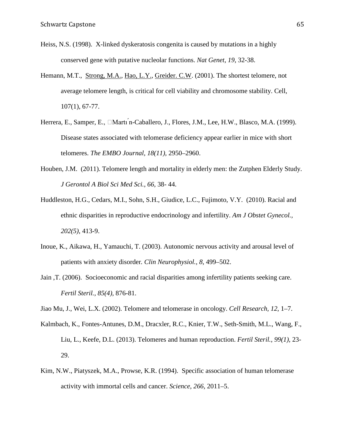- Heiss, N.S. (1998). X-linked dyskeratosis congenita is caused by mutations in a highly conserved gene with putative nucleolar functions. *Nat Genet*, *19*, 32-38.
- Hemann, M.T., [Strong, M.A.](http://www.ncbi.nlm.nih.gov/pubmed/?term=Strong%20MA%5BAuthor%5D&cauthor=true&cauthor_uid=11595186), [Hao, L.Y.](http://www.ncbi.nlm.nih.gov/pubmed/?term=Hao%20LY%5BAuthor%5D&cauthor=true&cauthor_uid=11595186), [Greider. C.W.](http://www.ncbi.nlm.nih.gov/pubmed/?term=Greider%20CW%5BAuthor%5D&cauthor=true&cauthor_uid=11595186) (2001). The shortest telomere, not average telomere length, is critical for cell viability and chromosome stability. Cell, 107(1), 67-77.
- Herrera, E., Samper, E., □Martı n-Caballero, J., Flores, J.M., Lee, H.W., Blasco, M.A. (1999). Disease states associated with telomerase deficiency appear earlier in mice with short telomeres. *The EMBO Journal, 18(11),* 2950–2960.
- Houben, J.M. (2011). Telomere length and mortality in elderly men: the Zutphen Elderly Study. *J Gerontol A Biol Sci Med Sci., 66,* 38- 44.
- Huddleston, H.G., Cedars, M.I., Sohn, S.H., Giudice, L.C., Fujimoto, V.Y. (2010). Racial and ethnic disparities in reproductive endocrinology and infertility. *Am J Obstet Gynecol., 202(5)*, 413-9.
- Inoue, K., Aikawa, H., Yamauchi, T. (2003). Autonomic nervous activity and arousal level of patients with anxiety disorder*. Clin Neurophysiol., 8,* 499–502.
- Jain ,T. (2006). Socioeconomic and racial disparities among infertility patients seeking care. *Fertil Steril., 85(4),* 876-81.
- Jiao Mu, J., Wei, L.X. (2002). Telomere and telomerase in oncology. *Cell Research, 12*, 1–7.
- Kalmbach, K., Fontes-Antunes, D.M., Dracxler, R.C., Knier, T.W., Seth-Smith, M.L., Wang, F., Liu, L., Keefe, D.L. (2013). Telomeres and human reproduction. *Fertil Steril., 99(1),* 23- 29.
- Kim, N.W., Piatyszek, M.A., Prowse, K.R. (1994). Specific association of human telomerase activity with immortal cells and cancer. *Science*, *266,* 2011–5.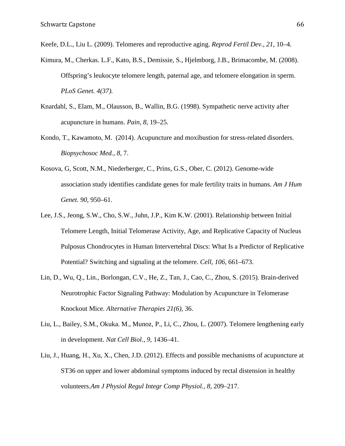Keefe, D.L., Liu L. (2009). Telomeres and reproductive aging. *Reprod Fertil Dev., 21,* 10–4.

- Kimura, M., Cherkas. L.F., Kato, B.S., Demissie, S., Hjelmborg, J.B., Brimacombe, M. (2008). Offspring's leukocyte telomere length, paternal age, and telomere elongation in sperm. *PLoS Genet. 4(37).*
- Knardahl, S., Elam, M., Olausson, B., Wallin, B.G. (1998). Sympathetic nerve activity after acupuncture in humans. *Pain, 8,* 19–25.
- Kondo, T., Kawamoto, M. (2014). Acupuncture and moxibustion for stress-related disorders. *Biopsychosoc Med., 8,* 7.
- Kosova, G, Scott, N.M., Niederberger, C., Prins, G.S., Ober, C. (2012). Genome-wide association study identifies candidate genes for male fertility traits in humans. *Am J Hum Genet. 90,* 950–61.
- Lee, J.S., Jeong, S.W., Cho, S.W., Juhn, J.P., Kim K.W. (2001). Relationship between Initial Telomere Length, Initial Telomerase Activity, Age, and Replicative Capacity of Nucleus Pulposus Chondrocytes in Human Intervertebral Discs: What Is a Predictor of Replicative Potential? Switching and signaling at the telomere. *Cell, 106*, 661–673.
- Lin, D., Wu, Q., Lin., Borlongan, C.V., He, Z., Tan, J., Cao, C., Zhou, S. (2015). Brain-derived Neurotrophic Factor Signaling Pathway: Modulation by Acupuncture in Telomerase Knockout Mice. *Alternative Therapies 21(6)*, 36.
- Liu, L., Bailey, S.M., Okuka. M., Munoz, P., Li, C., Zhou, L. (2007). Telomere lengthening early in development. *Nat Cell Biol., 9,* 1436–41.
- Liu, J., Huang, H., Xu, X., Chen, J.D. (2012). Effects and possible mechanisms of acupuncture at ST36 on upper and lower abdominal symptoms induced by rectal distension in healthy volunteers.*Am J Physiol Regul Integr Comp Physiol., 8,* 209–217.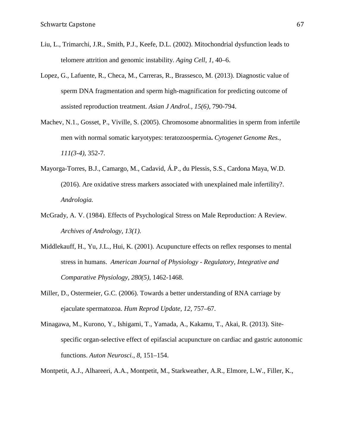- Liu, L., Trimarchi, J.R., Smith, P.J., Keefe, D.L. (2002). Mitochondrial dysfunction leads to telomere attrition and genomic instability. *Aging Cell, 1,* 40–6.
- Lopez, G., Lafuente, R., Checa, M., Carreras, R., Brassesco, M. (2013). Diagnostic value of sperm DNA fragmentation and sperm high-magnification for predicting outcome of assisted reproduction treatment. *Asian J Androl., 15(6),* 790-794.
- Machev, N.1., Gosset, P., Viville, S. (2005). Chromosome abnormalities in sperm from infertile men with normal somatic karyotypes: teratozoospermia**.** *Cytogenet Genome Res., 111(3-4)*, 352-7.
- Mayorga-Torres, B.J., Camargo, M., Cadavid, Á.P., du Plessis, S.S., Cardona Maya, W.D. (2016). Are oxidative stress markers associated with unexplained male infertility?. *Andrologia.*
- McGrady, A. V. (1984). Effects of Psychological Stress on Male Reproduction: A Review. *Archives of Andrology, 13(1).*
- Middlekauff, H., Yu, J.L., Hui, K. (2001). Acupuncture effects on reflex responses to mental stress in humans. *American Journal of Physiology - Regulatory, Integrative and Comparative Physiology, 280(5),* 1462-1468.
- Miller, D., Ostermeier, G.C. (2006). Towards a better understanding of RNA carriage by ejaculate spermatozoa. *Hum Reprod Update, 12,* 757–67.
- Minagawa, M., Kurono, Y., Ishigami, T., Yamada, A., Kakamu, T., Akai, R. (2013). Sitespecific organ-selective effect of epifascial acupuncture on cardiac and gastric autonomic functions. *Auton Neurosci., 8,* 151–154.
- Montpetit, A.J., Alhareeri, A.A., Montpetit, M., Starkweather, A.R., Elmore, L.W., Filler, K.,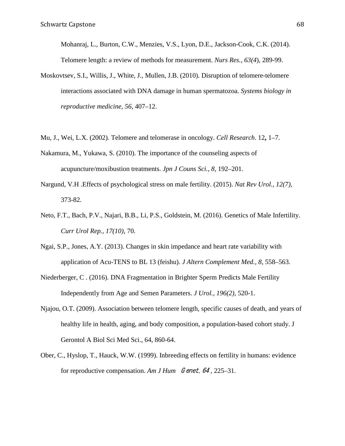Mohanraj, L., Burton, C.W., Menzies, V.S., Lyon, D.E., Jackson-Cook, C.K. (2014). Telomere length: a review of methods for measurement. *Nurs Res., 63(4*), 289-99.

- Moskovtsev, S.I., Willis, J., White, J., Mullen, J.B. (2010). Disruption of telomere-telomere interactions associated with DNA damage in human spermatozoa. *Systems biology in reproductive medicine, 56,* 407–12.
- Mu, J., Wei, L.X. (2002)*.* Telomere and telomerase in oncology. *Cell Research*. 12**,** 1–7.
- Nakamura, M., Yukawa, S. (2010). The importance of the counseling aspects of acupuncture/moxibustion treatments. *Jpn J Couns Sci., 8,* 192–201.
- Nargund, V.H .Effects of psychological stress on male fertility. (2015). *Nat Rev Urol., 12(7),* 373-82.
- Neto, F.T., Bach, P.V., Najari, B.B., Li, P.S., Goldstein, M. (2016). Genetics of Male Infertility. *Curr Urol Rep., 17(10),* 70.
- Ngai, S.P., Jones, A.Y. (2013). Changes in skin impedance and heart rate variability with application of Acu-TENS to BL 13 (feishu). *J Altern Complement Med., 8,* 558–563.
- Niederberger, C . (2016). DNA Fragmentation in Brighter Sperm Predicts Male Fertility Independently from Age and Semen Parameters. *J Urol., 196(2),* 520-1.
- Njajou, O.T. (2009). Association between telomere length, specific causes of death, and years of healthy life in health, aging, and body composition, a population-based cohort study. J Gerontol A Biol Sci Med Sci., 64, 860-64.
- Ober, C., Hyslop, T., Hauck, W.W. (1999). Inbreeding effects on fertility in humans: evidence for reproductive compensation. *Am J Hum G enet, 64*, 225–31.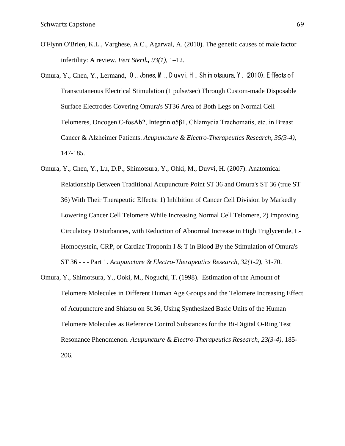- O'Flynn O'Brien, K.L., Varghese, A.C., Agarwal, A. (2010). The genetic causes of male factor infertility: A review. *Fert Steril., 93(1),* 1–12.
- Omura, Y., Chen, Y., Lermand, O ., Jones, M ., D uvvi, H ., Shim otsuura, Y . (2010). E ffects of Transcutaneous Electrical Stimulation (1 pulse/sec) Through Custom-made Disposable Surface Electrodes Covering Omura's ST36 Area of Both Legs on Normal Cell Telomeres, Oncogen C-fosAb2, Integrin α5β1, Chlamydia Trachomatis, etc. in Breast Cancer & Alzheimer Patients. *Acupuncture & Electro-Therapeutics Research, 35(3-4),* 147-185.
- Omura, Y., Chen, Y., Lu, D.P., Shimotsura, Y., Ohki, M., Duvvi, H. (2007). Anatomical Relationship Between Traditional Acupuncture Point ST 36 and Omura's ST 36 (true ST 36) With Their Therapeutic Effects: 1) Inhibition of Cancer Cell Division by Markedly Lowering Cancer Cell Telomere While Increasing Normal Cell Telomere, 2) Improving Circulatory Disturbances, with Reduction of Abnormal Increase in High Triglyceride, L-Homocystein, CRP, or Cardiac Troponin I & T in Blood By the Stimulation of Omura's ST 36 - - - Part 1. *Acupuncture & Electro-Therapeutics Research, 32(1-2),* 31-70.
- Omura, Y., Shimotsura, Y., Ooki, M., Noguchi, T. (1998). Estimation of the Amount of Telomere Molecules in Different Human Age Groups and the Telomere Increasing Effect of Acupuncture and Shiatsu on St.36, Using Synthesized Basic Units of the Human Telomere Molecules as Reference Control Substances for the Bi-Digital O-Ring Test Resonance Phenomenon. *Acupuncture & Electro-Therapeutics Research, 23(3-4),* 185- 206.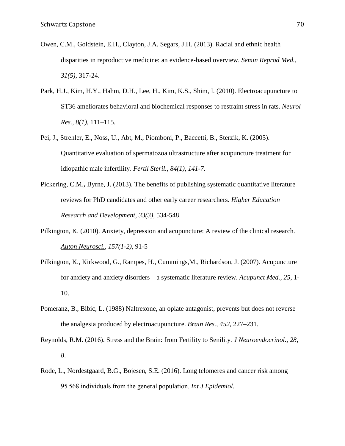- Owen, C.M., Goldstein, E.H., Clayton, J.A. Segars, J.H. (2013). Racial and ethnic health disparities in reproductive medicine: an evidence-based overview. *Semin Reprod Med., 31(5)*, 317-24.
- Park, H.J., Kim, H.Y., Hahm, D.H., Lee, H., Kim, K.S., Shim, I. (2010). Electroacupuncture to ST36 ameliorates behavioral and biochemical responses to restraint stress in rats. *Neurol Res., 8(1),* 111–115.
- Pei, J., Strehler, E., Noss, U., Abt, M., Piomboni, P., Baccetti, B., Sterzik, K. (2005). Quantitative evaluation of spermatozoa ultrastructure after acupuncture treatment for idiopathic male infertility. *Fertil Steril., 84(1), 141-7.*
- Pickering, C.M.**,** Byrne, J. (2013). The benefits of publishing systematic quantitative literature reviews for PhD candidates and other early career researchers. *Higher Education Research and Development*, *33(3),* 534-548.
- Pilkington, K. (2010). Anxiety, depression and acupuncture: A review of the clinical research*. [Auton Neurosci.,](http://www.ncbi.nlm.nih.gov/pubmed/20451469) 157(1-2),* 91-5
- Pilkington, K., Kirkwood, G., Rampes, H., Cummings,M., Richardson, J. (2007). Acupuncture for anxiety and anxiety disorders – a systematic literature review. *Acupunct Med., 25,* 1- 10.
- Pomeranz, B., Bibic, L. (1988) Naltrexone, an opiate antagonist, prevents but does not reverse the analgesia produced by electroacupuncture. *Brain Res., 452,* 227–231.
- Reynolds, R.M. (2016). Stress and the Brain: from Fertility to Senility*. J Neuroendocrinol., 28, 8*.
- Rode, L., Nordestgaard, B.G., Bojesen, S.E. (2016). Long telomeres and cancer risk among 95 568 individuals from the general population. *Int J Epidemiol.*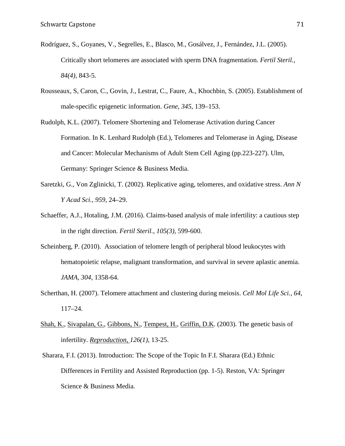- Rodríguez, S., Goyanes, V., Segrelles, E., Blasco, M., Gosálvez, J., Fernández, J.L. (2005). Critically short telomeres are associated with sperm DNA fragmentation. *Fertil Steril., 84(4),* 843-5.
- Rousseaux, S, Caron, C., Govin, J., Lestrat, C., Faure, A., Khochbin, S. (2005). Establishment of male-specific epigenetic information. *Gene, 345,* 139–153.
- Rudolph, K.L. (2007). Telomere Shortening and Telomerase Activation during Cancer Formation. In K. Lenhard Rudolph (Ed.), Telomeres and Telomerase in Aging, Disease and Cancer: Molecular Mechanisms of Adult Stem Cell Aging (pp.223-227). Ulm, Germany: Springer Science & Business Media.
- Saretzki, G., Von Zglinicki, T. (2002). Replicative aging, telomeres, and oxidative stress. *Ann N Y Acad Sci., 959*, 24–29.
- Schaeffer, A.J., Hotaling, J.M. (2016). Claims-based analysis of male infertility: a cautious step in the right direction. *Fertil Steril., 105(3),* 599-600.
- Scheinberg, P. (2010). Association of telomere length of peripheral blood leukocytes with hematopoietic relapse, malignant transformation, and survival in severe aplastic anemia. *JAMA, 304,* 1358-64.
- Scherthan, H. (2007). Telomere attachment and clustering during meiosis. *Cell Mol Life Sci., 64*, 117–24.
- [Shah, K.](http://www.ncbi.nlm.nih.gov/pubmed/?term=Shah%20K%5BAuthor%5D&cauthor=true&cauthor_uid=12814343), [Sivapalan, G.](http://www.ncbi.nlm.nih.gov/pubmed/?term=Sivapalan%20G%5BAuthor%5D&cauthor=true&cauthor_uid=12814343), [Gibbons, N.](http://www.ncbi.nlm.nih.gov/pubmed/?term=Gibbons%20N%5BAuthor%5D&cauthor=true&cauthor_uid=12814343), [Tempest, H.](http://www.ncbi.nlm.nih.gov/pubmed/?term=Tempest%20H%5BAuthor%5D&cauthor=true&cauthor_uid=12814343), [Griffin, D.K.](http://www.ncbi.nlm.nih.gov/pubmed/?term=Griffin%20DK%5BAuthor%5D&cauthor=true&cauthor_uid=12814343) (2003). The genetic basis of infertility. *Reproduction, 126(1)*, 13-25.
- Sharara, F.I. (2013). Introduction: The Scope of the Topic In F.I. Sharara (Ed.) Ethnic Differences in Fertility and Assisted Reproduction (pp. 1-5). Reston, VA: Springer Science & Business Media.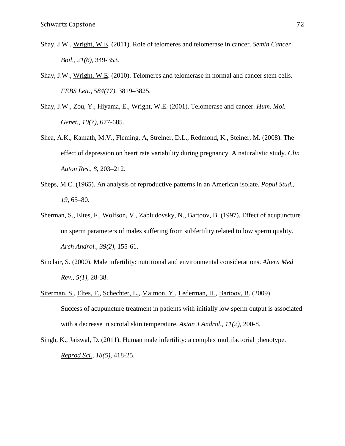- Shay, J.W., [Wright,](http://www.ncbi.nlm.nih.gov/pubmed/?term=Wright%20WE%5BAuthor%5D&cauthor=true&cauthor_uid=22015685) W.E. (2011). Role of telomeres and telomerase in cancer. *Semin Cancer Boil., 21(6),* 349-353.
- Shay, J.W., [Wright,](http://www.ncbi.nlm.nih.gov/pubmed/?term=Wright%20WE%5BAuthor%5D&cauthor=true&cauthor_uid=22015685) W.E. (2010). Telomeres and telomerase in normal and cancer stem cells*. [FEBS Lett., 584\(17\),](http://www.ncbi.nlm.nih.gov/entrez/eutils/elink.fcgi?dbfrom=pubmed&retmode=ref&cmd=prlinks&id=20493857)* 3819–3825.
- Shay, J.W., Zou, Y., Hiyama, E., Wright, W.E. (2001). Telomerase and cancer. *Hum. Mol. Genet., 10(7),* 677-685.
- Shea, A.K., Kamath, M.V., Fleming, A, Streiner, D.L., Redmond, K., Steiner, M. (2008). The effect of depression on heart rate variability during pregnancy. A naturalistic study. *Clin Auton Res., 8,* 203–212.
- Sheps, M.C. (1965). An analysis of reproductive patterns in an American isolate. *Popul Stud., 19,* 65–80.
- Sherman, S., Eltes, F., Wolfson, V., Zabludovsky, N., Bartoov, B. (1997). Effect of acupuncture on sperm parameters of males suffering from subfertility related to low sperm quality. *Arch Androl., 39(2)*, 155-61.
- Sinclair, S. (2000). Male infertility: nutritional and environmental considerations. *Altern Med Rev., 5(1),* 28-38.
- [Siterman, S.](http://www.ncbi.nlm.nih.gov/pubmed/?term=Siterman%20S%5BAuthor%5D&cauthor=true&cauthor_uid=19122677), [Eltes, F.](http://www.ncbi.nlm.nih.gov/pubmed/?term=Eltes%20F%5BAuthor%5D&cauthor=true&cauthor_uid=19122677), [Schechter, L.](http://www.ncbi.nlm.nih.gov/pubmed/?term=Schechter%20L%5BAuthor%5D&cauthor=true&cauthor_uid=19122677), [Maimon, Y.](http://www.ncbi.nlm.nih.gov/pubmed/?term=Maimon%20Y%5BAuthor%5D&cauthor=true&cauthor_uid=19122677), [Lederman, H.](http://www.ncbi.nlm.nih.gov/pubmed/?term=Lederman%20H%5BAuthor%5D&cauthor=true&cauthor_uid=19122677), [Bartoov, B.](http://www.ncbi.nlm.nih.gov/pubmed/?term=Bartoov%20B%5BAuthor%5D&cauthor=true&cauthor_uid=19122677) (2009). Success of acupuncture treatment in patients with initially low sperm output is associated with a decrease in scrotal skin temperature. *Asian J Androl., 11(2),* 200-8.
- [Singh, K.](http://www.ncbi.nlm.nih.gov/pubmed/?term=Singh%20K%5BAuthor%5D&cauthor=true&cauthor_uid=21421900), [Jaiswal, D.](http://www.ncbi.nlm.nih.gov/pubmed/?term=Jaiswal%20D%5BAuthor%5D&cauthor=true&cauthor_uid=21421900) (2011). Human male infertility: a complex multifactorial phenotype. *[Reprod Sci.,](http://www.ncbi.nlm.nih.gov/pubmed/21421900) 18(5)*, 418-25.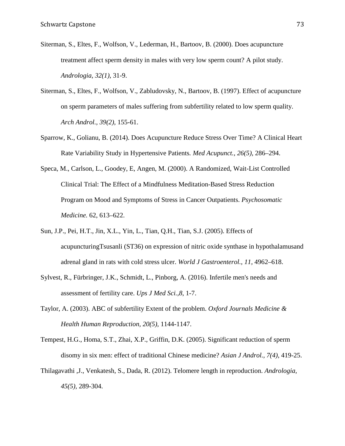- Siterman, S., Eltes, F., Wolfson, V., Lederman, H., Bartoov, B. (2000). Does acupuncture treatment affect sperm density in males with very low sperm count? A pilot study. *Andrologia, 32(1)*, 31-9.
- Siterman, S., Eltes, F., Wolfson, V., Zabludovsky, N., Bartoov, B. (1997). Effect of acupuncture on sperm parameters of males suffering from subfertility related to low sperm quality. *Arch Androl., 39(2),* 155-61.
- Sparrow, K., Golianu, B. (2014). Does Acupuncture Reduce Stress Over Time? A Clinical Heart Rate Variability Study in Hypertensive Patients*. Med Acupunct., 26(5),* 286–294.
- Speca, M., Carlson, L., Goodey, E, Angen, M. (2000). A Randomized, Wait-List Controlled Clinical Trial: The Effect of a Mindfulness Meditation-Based Stress Reduction Program on Mood and Symptoms of Stress in Cancer Outpatients. *Psychosomatic Medicine.* 62, 613–622.
- Sun, J.P., Pei, H.T., Jin, X.L., Yin, L., Tian, Q.H., Tian, S.J. (2005). Effects of acupuncturingTsusanli (ST36) on expression of nitric oxide synthase in hypothalamusand adrenal gland in rats with cold stress ulcer. *World J Gastroenterol., 11,* 4962–618.
- Sylvest, R., Fürbringer, J.K., Schmidt, L., Pinborg, A. (2016). Infertile men's needs and assessment of fertility care. *Ups J Med Sci.,8*, 1-7.
- Taylor, A. (2003). ABC of subfertility Extent of the problem. *Oxford Journals Medicine & Health Human Reproduction, 20(5),* 1144-1147.
- Tempest, H.G., Homa, S.T., Zhai, X.P., Griffin, D.K. (2005). Significant reduction of sperm disomy in six men: effect of traditional Chinese medicine? *Asian J Androl., 7(4),* 419-25.
- Thilagavathi ,J., Venkatesh, S., Dada, R. (2012). Telomere length in reproduction. *Andrologia, 45(5),* 289-304.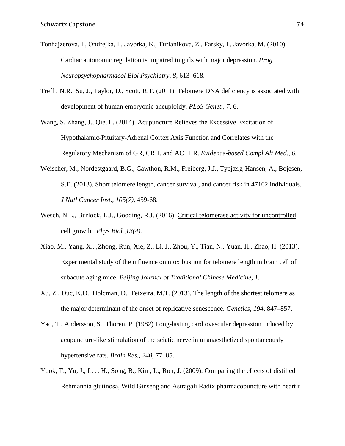- Tonhajzerova, I., Ondrejka, I., Javorka, K., Turianikova, Z., Farsky, I., Javorka, M. (2010). Cardiac autonomic regulation is impaired in girls with major depression. *Prog Neuropsychopharmacol Biol Psychiatry, 8,* 613–618.
- Treff , N.R., Su, J., Taylor, D., Scott, R.T. (2011). Telomere DNA deficiency is associated with development of human embryonic aneuploidy. *PLoS Genet., 7,* 6.
- Wang, S, Zhang, J., Qie, L. (2014). Acupuncture Relieves the Excessive Excitation of Hypothalamic-Pituitary-Adrenal Cortex Axis Function and Correlates with the Regulatory Mechanism of GR, CRH, and ACTHR. *Evidence-based Compl Alt Med., 6.*
- Weischer, M., Nordestgaard, B.G., Cawthon, R.M., Freiberg, J.J., Tybjærg-Hansen, A., Bojesen, S.E. (2013). Short telomere length, cancer survival, and cancer risk in 47102 individuals. *J Natl Cancer Inst., 105(7),* 459-68.
- Wesch, N.L., Burlock, L.J., Gooding, R.J. (2016). Critical telomerase [activity for uncontrolled](http://www.ncbi.nlm.nih.gov/pubmed/27500377)  [cell growth.](http://www.ncbi.nlm.nih.gov/pubmed/27500377) *Phys Biol.,13(4).*
- Xiao, M., Yang, X., ,Zhong, Run, Xie, Z., Li, J., Zhou, Y., Tian, N., Yuan, H., Zhao, H. (2013). Experimental study of the influence on moxibustion for telomere length in brain cell of subacute aging mice. *Beijing Journal of Traditional Chinese Medicine, 1.*
- Xu, Z., Duc, K.D., Holcman, D., Teixeira, M.T. (2013). The length of the shortest telomere as the major determinant of the onset of replicative senescence. *Genetics, 194,* 847–857.
- Yao, T., Andersson, S., Thoren, P. (1982) Long-lasting cardiovascular depression induced by acupuncture-like stimulation of the sciatic nerve in unanaesthetized spontaneously hypertensive rats. *Brain Res., 240*, 77–85.
- Yook, T., Yu, J., Lee, H., Song, B., Kim, L., Roh, J. (2009). Comparing the effects of distilled Rehmannia glutinosa, Wild Ginseng and Astragali Radix pharmacopuncture with heart r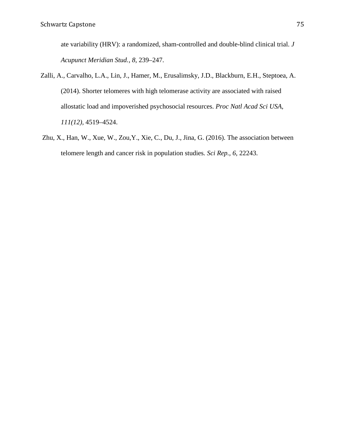ate variability (HRV): a randomized, sham-controlled and double-blind clinical trial. *J Acupunct Meridian Stud., 8,* 239–247.

- Zalli, A., Carvalho, L.A., Lin, J., Hamer, M., Erusalimsky, J.D., Blackburn, E.H., Steptoea, A. (2014). Shorter telomeres with high telomerase activity are associated with raised allostatic load and impoverished psychosocial resources. *Proc Natl Acad Sci USA, 111(12),* 4519–4524.
- Zhu, X., Han, W., Xue, W., Zou,Y., Xie, C., Du, J., Jina, G. (2016). The association between telomere length and cancer risk in population studies*. Sci Rep., 6,* 22243.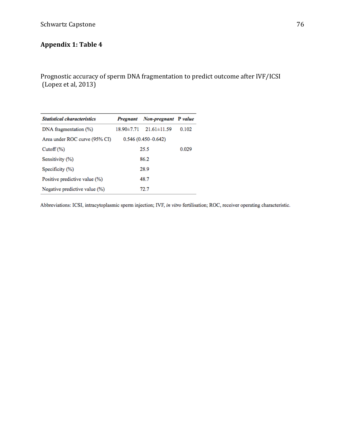## Schwartz Capstone 76

# **Appendix 1: Table 4**

Prognostic accuracy of sperm DNA fragmentation to predict outcome after IVF/ICSI (Lopez et al, 2013)

| <b>Statistical characteristics</b> |                        | Pregnant Non-pregnant P value      |       |  |  |
|------------------------------------|------------------------|------------------------------------|-------|--|--|
| DNA fragmentation (%)              |                        | $18.90 \pm 7.71$ $21.61 \pm 11.59$ | 0.102 |  |  |
| Area under ROC curve (95% CI)      | $0.546(0.450 - 0.642)$ |                                    |       |  |  |
| $\mathrm{Cutoff}(\%)$              | 25.5                   | 0.029                              |       |  |  |
| Sensitivity (%)                    | 86.2                   |                                    |       |  |  |
| Specificity (%)                    | 28.9                   |                                    |       |  |  |
| Positive predictive value (%)      | 48.7                   |                                    |       |  |  |
| Negative predictive value (%)      |                        | 72.7                               |       |  |  |
|                                    |                        |                                    |       |  |  |

Abbreviations: ICSI, intracytoplasmic sperm injection; IVF, in vitro fertilisation; ROC, receiver operating characteristic.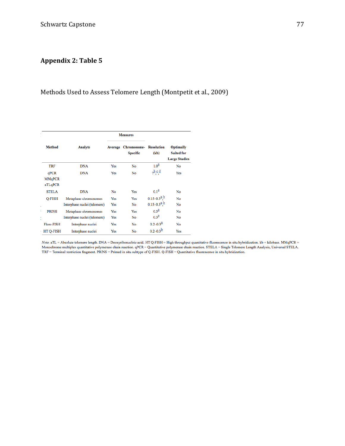# **Appendix 2: Table 5**

## Methods Used to Assess Telomere Length (Montpetit et al., 2009)

|                                  |                              | <b>Measures</b>                        |                           |                                                               |     |
|----------------------------------|------------------------------|----------------------------------------|---------------------------|---------------------------------------------------------------|-----|
| <b>Method</b><br>Analyte         |                              | Average Chromosome-<br><b>Specific</b> | <b>Resolution</b><br>(kb) | <b>Optimally</b><br><b>Suited for</b><br><b>Large Studies</b> |     |
| <b>TRF</b>                       | <b>DNA</b>                   | Yes                                    | No                        | $1.0^{2}$                                                     | No  |
| qPCR<br><b>MMqPCR</b><br>aTLqPCR | <b>DNA</b>                   | Yes                                    | No                        | $h \circ d$                                                   | Yes |
| <b>STELA</b>                     | <b>DNA</b>                   | No                                     | Yes                       | $0.1^{\underline{a}}$                                         | No  |
| <b>O-FISH</b>                    | Metaphase chromosomes        | Yes                                    | Yes                       | $0.15 - 0.3^{\underline{a}, \underline{b}}$                   | No  |
|                                  | Interphase nuclei (telomere) | Yes                                    | No                        | $0.15 - 0.3^{\underline{a}, \underline{b}}$                   | No  |
| <b>PRINS</b>                     | Metaphase chromosomes        | Yes                                    | Yes                       | $0.3^{\underline{a}}$                                         | No  |
|                                  | Interphase nuclei (telomere) | Yes                                    | No                        | $0.3^{\underline{a}}$                                         | No  |
| Flow-FISH                        | Interphase nuclei            | Yes                                    | No                        | $0.2 - 0.3^{\underline{a}}$                                   | No  |
| HT Q-FISH                        | Interphase nuclei            | Yes                                    | No                        | $0.2 - 0.3^{\frac{b}{2}}$                                     | Yes |

 $Note.$  aTL = Absolute telomere length. DNA = Deoxyribonucleic acid. HT Q-FISH = High throughput quantitative fluorescence in situ hybridization. kb = kilobase. MMqPCR = Monochrome multiplex quantitative polymerase chain reaction. qPCR = Quantitative polymerase chain reaction. STELA = Single Telomere Length Analysis, Universal STELA.  $TRF = Terminal restriction fragment. PRINS = Primed in situ subtype of Q-FISH. Q-FISH = Quantitative fluorescence in situ hybridization.$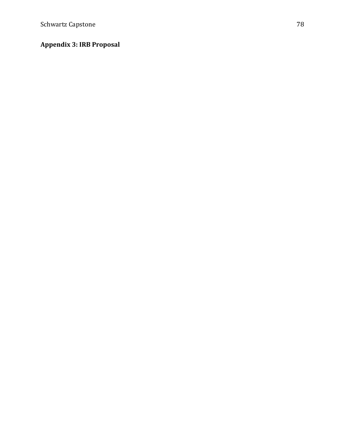# **Appendix 3: IRB Proposal**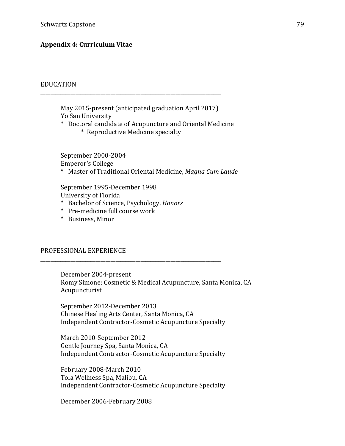## **Appendix 4: Curriculum Vitae**

#### EDUCATION

May 2015-present (anticipated graduation April 2017) Yo San University

\* Doctoral candidate of Acupuncture and Oriental Medicine

\* Reproductive Medicine specialty

\_\_\_\_\_\_\_\_\_\_\_\_\_\_\_\_\_\_\_\_\_\_\_\_\_\_\_\_\_\_\_\_\_\_\_\_\_\_\_\_\_\_\_\_\_\_\_\_\_\_\_\_\_\_\_\_\_\_\_\_\_\_\_\_\_\_\_\_\_\_\_\_

September 2000-2004 Emperor's College \* Master of Traditional Oriental Medicine, *Magna Cum Laude*

September 1995-December 1998 University of Florida

\* Bachelor of Science, Psychology, *Honors*

\_\_\_\_\_\_\_\_\_\_\_\_\_\_\_\_\_\_\_\_\_\_\_\_\_\_\_\_\_\_\_\_\_\_\_\_\_\_\_\_\_\_\_\_\_\_\_\_\_\_\_\_\_\_\_\_\_\_\_\_\_\_\_\_\_\_\_\_\_\_\_\_

\* Pre-medicine full course work

\* Business, Minor

#### PROFESSIONAL EXPERIENCE

December 2004-present Romy Simone: Cosmetic & Medical Acupuncture, Santa Monica, CA Acupuncturist

September 2012-December 2013 Chinese Healing Arts Center, Santa Monica, CA Independent Contractor-Cosmetic Acupuncture Specialty

March 2010-September 2012 Gentle Journey Spa, Santa Monica, CA Independent Contractor-Cosmetic Acupuncture Specialty

February 2008-March 2010 Tola Wellness Spa, Malibu, CA Independent Contractor-Cosmetic Acupuncture Specialty

December 2006-February 2008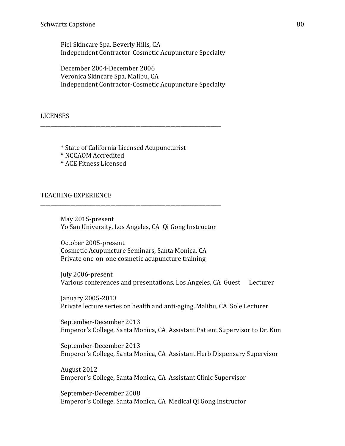Piel Skincare Spa, Beverly Hills, CA Independent Contractor-Cosmetic Acupuncture Specialty

December 2004-December 2006 Veronica Skincare Spa, Malibu, CA Independent Contractor-Cosmetic Acupuncture Specialty

LICENSES

\* State of California Licensed Acupuncturist

\_\_\_\_\_\_\_\_\_\_\_\_\_\_\_\_\_\_\_\_\_\_\_\_\_\_\_\_\_\_\_\_\_\_\_\_\_\_\_\_\_\_\_\_\_\_\_\_\_\_\_\_\_\_\_\_\_\_\_\_\_\_\_\_\_\_\_\_\_\_\_\_

\* NCCAOM Accredited

\* ACE Fitness Licensed

### TEACHING EXPERIENCE

May 2015-present Yo San University, Los Angeles, CA Qi Gong Instructor

\_\_\_\_\_\_\_\_\_\_\_\_\_\_\_\_\_\_\_\_\_\_\_\_\_\_\_\_\_\_\_\_\_\_\_\_\_\_\_\_\_\_\_\_\_\_\_\_\_\_\_\_\_\_\_\_\_\_\_\_\_\_\_\_\_\_\_\_\_\_\_\_

October 2005-present Cosmetic Acupuncture Seminars, Santa Monica, CA Private one-on-one cosmetic acupuncture training

July 2006-present Various conferences and presentations, Los Angeles, CA Guest Lecturer

January 2005-2013 Private lecture series on health and anti-aging, Malibu, CA Sole Lecturer

September-December 2013 Emperor's College, Santa Monica, CA Assistant Patient Supervisor to Dr. Kim

September-December 2013 Emperor's College, Santa Monica, CA Assistant Herb Dispensary Supervisor

August 2012 Emperor's College, Santa Monica, CA Assistant Clinic Supervisor

September-December 2008 Emperor's College, Santa Monica, CA Medical Qi Gong Instructor